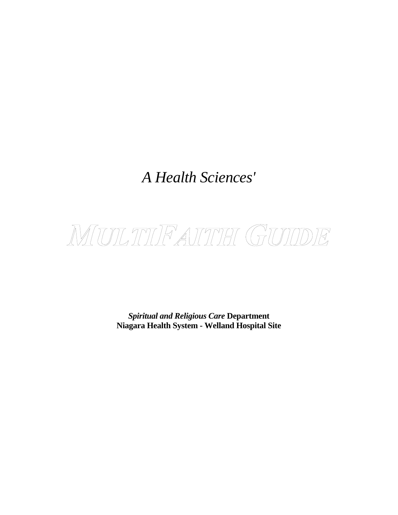# *A Health Sciences'*



*Spiritual and Religious Care* **Department Niagara Health System - Welland Hospital Site**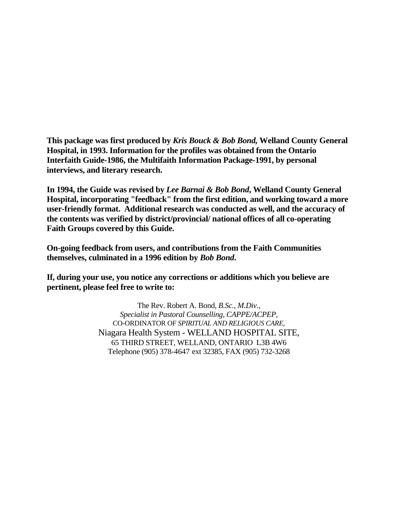**This package was first produced by** *Kris Bouck & Bob Bond,* **Welland County General Hospital, in 1993. Information for the profiles was obtained from the Ontario Interfaith Guide-1986, the Multifaith Information Package-1991, by personal interviews, and literary research.** 

**In 1994, the Guide was revised by** *Lee Barnai & Bob Bond***, Welland County General Hospital, incorporating "feedback" from the first edition, and working toward a more user-friendly format. Additional research was conducted as well, and the accuracy of the contents was verified by district/provincial/ national offices of all co-operating Faith Groups covered by this Guide.** 

**On-going feedback from users, and contributions from the Faith Communities themselves, culminated in a 1996 edition by** *Bob Bond***.** 

**If, during your use, you notice any corrections or additions which you believe are pertinent, please feel free to write to:** 

> The Rev. Robert A. Bond*, B.Sc., M.Div., Specialist in Pastoral Counselling, CAPPE/ACPEP,*  CO-ORDINATOR OF *SPIRITUAL AND RELIGIOUS CARE,*  Niagara Health System - WELLAND HOSPITAL SITE, 65 THIRD STREET, WELLAND, ONTARIO L3B 4W6 Telephone (905) 378-4647 ext 32385, FAX (905) 732-3268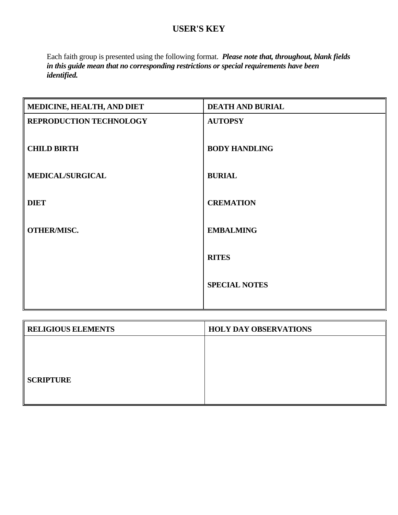#### **USER'S KEY**

Each faith group is presented using the following format. *Please note that, throughout, blank fields in this guide mean that no corresponding restrictions or special requirements have been identified.*

| MEDICINE, HEALTH, AND DIET     | <b>DEATH AND BURIAL</b> |
|--------------------------------|-------------------------|
| <b>REPRODUCTION TECHNOLOGY</b> | <b>AUTOPSY</b>          |
|                                |                         |
| <b>CHILD BIRTH</b>             | <b>BODY HANDLING</b>    |
|                                |                         |
| <b>MEDICAL/SURGICAL</b>        | <b>BURIAL</b>           |
|                                |                         |
| <b>DIET</b>                    | <b>CREMATION</b>        |
| <b>OTHER/MISC.</b>             | <b>EMBALMING</b>        |
|                                |                         |
|                                | <b>RITES</b>            |
|                                |                         |
|                                | <b>SPECIAL NOTES</b>    |
|                                |                         |
|                                |                         |

| <b>RELIGIOUS ELEMENTS</b> | <b>HOLY DAY OBSERVATIONS</b> |
|---------------------------|------------------------------|
|                           |                              |
|                           |                              |
|                           |                              |
| <b>SCRIPTURE</b>          |                              |
|                           |                              |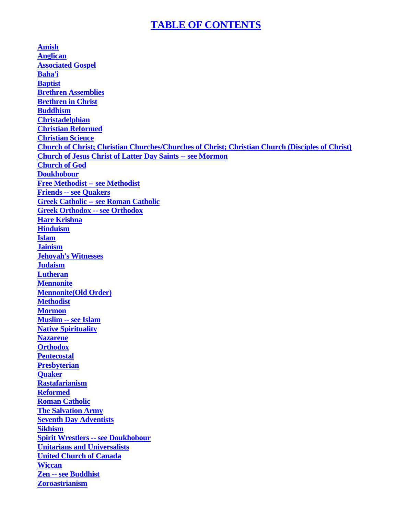#### **TABLE OF CONTENTS**

<span id="page-3-0"></span>**[Amish](#page-4-0) [Anglican](#page-5-0) [Associated Gospel](#page-6-0)  [Baha'i](#page-3-0) [Baptist](#page-9-0) [Brethren Assemblies](#page-10-0) [Brethren in Christ](#page-11-0)  [Buddhism](#page-12-0) [Christadelphian](#page-13-0) [Christian Reformed](#page-16-0) [Christian Science](#page-17-0) [Church of Christ; Christian Churches/Churches of Christ; Christian Church \(Disciples of Christ\)](#page-18-0) [Church of Jesus Christ of Latter Day Saints -- see Mormon](#page-35-0) [Church of God](#page-19-0)  [Doukhobour](#page-20-0) [Free Methodist -- see Methodist](#page-34-0) [Friends -- see Quakers](#page-43-0) [Greek Catholic -- see Roman Catholic](#page-47-0) [Greek Orthodox -- see Orthodox](#page-40-0) [Hare Krishna](#page-21-0) [Hinduism](#page-22-0)  [Islam](#page-24-0) [Jainism](#page-26-0) [Jehovah's Witnesses](#page-27-0) [Judaism](#page-29-0)  [Lutheran](#page-31-0)  [Mennonite](#page-32-0) [Mennonite\(Old Order\)](#page-33-0) [Methodist](#page-33-0) [Mormon](#page-35-0) [Muslim -- see Islam](#page-24-0) [Native Spirituality](#page-36-0) [Nazarene](#page-38-0) [Orthodox](#page-40-0) [Pentecostal](#page-41-0) [Presbyterian](#page-42-0) [Quaker](#page-43-0) [Rastafarianism](#page-44-0) [Reformed](#page-46-0) [Roman Catholic](#page-47-0) [The Salvation Army](#page-49-0) [Seventh Day Adventists](#page-50-0) [Sikhism](#page-52-0) [Spirit Wrestlers -- see Doukhobour](#page-20-0) [Unitarians and Universalists](#page-54-0) [United Church of Canada](#page-55-0) [Wiccan](#page-56-0) [Zen -- see Buddhist](#page-12-0) [Zoroastrianism](#page-57-0)**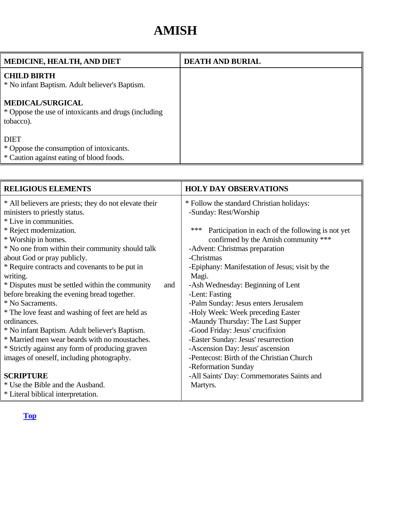### **AMISH**

<span id="page-4-0"></span>

| <b>MEDICINE, HEALTH, AND DIET</b>                                                                   | <b>DEATH AND BURIAL</b> |
|-----------------------------------------------------------------------------------------------------|-------------------------|
| <b>CHILD BIRTH</b><br>* No infant Baptism. Adult believer's Baptism.                                |                         |
| <b>MEDICAL/SURGICAL</b><br>* Oppose the use of intoxicants and drugs (including<br>tobacco).        |                         |
| <b>DIET</b><br>* Oppose the consumption of intoxicants.<br>* Caution against eating of blood foods. |                         |

| <b>RELIGIOUS ELEMENTS</b>                                                                                         | <b>HOLY DAY OBSERVATIONS</b>                                       |
|-------------------------------------------------------------------------------------------------------------------|--------------------------------------------------------------------|
| * All believers are priests; they do not elevate their<br>ministers to priestly status.<br>* Live in communities. | * Follow the standard Christian holidays:<br>-Sunday: Rest/Worship |
| * Reject modernization.                                                                                           | ***<br>Participation in each of the following is not yet           |
| * Worship in homes.                                                                                               | confirmed by the Amish community ***                               |
| * No one from within their community should talk                                                                  | -Advent: Christmas preparation<br>-Christmas                       |
| about God or pray publicly.<br>* Require contracts and covenants to be put in                                     | -Epiphany: Manifestation of Jesus; visit by the                    |
| writing.                                                                                                          | Magi.                                                              |
| * Disputes must be settled within the community<br>and                                                            | -Ash Wednesday: Beginning of Lent                                  |
| before breaking the evening bread together.                                                                       | -Lent: Fasting                                                     |
| * No Sacraments.                                                                                                  | -Palm Sunday: Jesus enters Jerusalem                               |
| * The love feast and washing of feet are held as                                                                  | -Holy Week: Week preceding Easter                                  |
| ordinances.                                                                                                       | -Maundy Thursday: The Last Supper                                  |
| * No infant Baptism. Adult believer's Baptism.                                                                    | -Good Friday: Jesus' crucifixion                                   |
| * Married men wear beards with no moustaches.                                                                     | -Easter Sunday: Jesus' resurrection                                |
| * Strictly against any form of producing graven                                                                   | -Ascension Day: Jesus' ascension                                   |
| images of oneself, including photography.                                                                         | -Pentecost: Birth of the Christian Church                          |
|                                                                                                                   | -Reformation Sunday                                                |
| <b>SCRIPTURE</b>                                                                                                  | -All Saints' Day: Commemorates Saints and                          |
| * Use the Bible and the Ausband.                                                                                  | Martyrs.                                                           |
| * Literal biblical interpretation.                                                                                |                                                                    |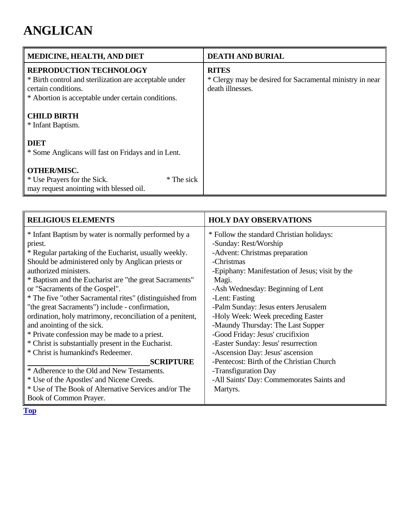### <span id="page-5-0"></span>**ANGLICAN**

| MEDICINE, HEALTH, AND DIET                                                                                                                                            | <b>DEATH AND BURIAL</b>                                                                      |
|-----------------------------------------------------------------------------------------------------------------------------------------------------------------------|----------------------------------------------------------------------------------------------|
| <b>REPRODUCTION TECHNOLOGY</b><br>* Birth control and sterilization are acceptable under<br>certain conditions.<br>* Abortion is acceptable under certain conditions. | <b>RITES</b><br>* Clergy may be desired for Sacramental ministry in near<br>death illnesses. |
| <b>CHILD BIRTH</b><br>* Infant Baptism.                                                                                                                               |                                                                                              |
| <b>DIET</b><br>* Some Anglicans will fast on Fridays and in Lent.                                                                                                     |                                                                                              |
| <b>OTHER/MISC.</b><br>* Use Prayers for the Sick.<br>* The sick<br>may request anointing with blessed oil.                                                            |                                                                                              |

| <b>RELIGIOUS ELEMENTS</b>                                 | <b>HOLY DAY OBSERVATIONS</b>                    |
|-----------------------------------------------------------|-------------------------------------------------|
| * Infant Baptism by water is normally performed by a      | * Follow the standard Christian holidays:       |
| priest.                                                   | -Sunday: Rest/Worship                           |
| * Regular partaking of the Eucharist, usually weekly.     | -Advent: Christmas preparation                  |
| Should be administered only by Anglican priests or        | -Christmas                                      |
| authorized ministers.                                     | -Epiphany: Manifestation of Jesus; visit by the |
| * Baptism and the Eucharist are "the great Sacraments"    | Magi.                                           |
| or "Sacraments of the Gospel".                            | -Ash Wednesday: Beginning of Lent               |
| * The five "other Sacramental rites" (distinguished from  | -Lent: Fasting                                  |
| "the great Sacraments") include - confirmation,           | -Palm Sunday: Jesus enters Jerusalem            |
| ordination, holy matrimony, reconciliation of a penitent, | -Holy Week: Week preceding Easter               |
| and anointing of the sick.                                | -Maundy Thursday: The Last Supper               |
| * Private confession may be made to a priest.             | -Good Friday: Jesus' crucifixion                |
| * Christ is substantially present in the Eucharist.       | -Easter Sunday: Jesus' resurrection             |
| * Christ is humankind's Redeemer.                         | -Ascension Day: Jesus' ascension                |
| <b>SCRIPTURE</b>                                          | -Pentecost: Birth of the Christian Church       |
| * Adherence to the Old and New Testaments.                | -Transfiguration Day                            |
| * Use of the Apostles' and Nicene Creeds.                 | -All Saints' Day: Commemorates Saints and       |
| * Use of The Book of Alternative Services and/or The      | Martyrs.                                        |
| Book of Common Prayer.                                    |                                                 |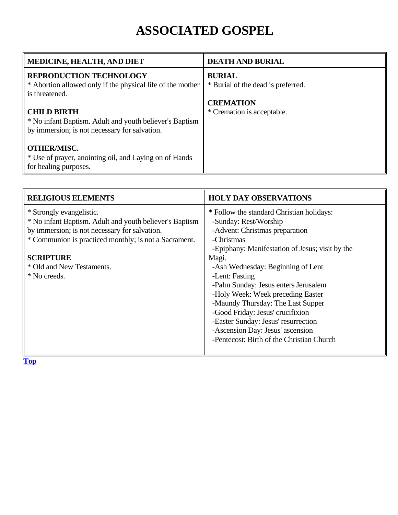## **ASSOCIATED GOSPEL**

<span id="page-6-0"></span>

| <b>MEDICINE, HEALTH, AND DIET</b>                                                            | <b>DEATH AND BURIAL</b>                             |
|----------------------------------------------------------------------------------------------|-----------------------------------------------------|
| <b>REPRODUCTION TECHNOLOGY</b><br>* Abortion allowed only if the physical life of the mother | <b>BURIAL</b><br>* Burial of the dead is preferred. |
| is threatened.                                                                               | <b>CREMATION</b>                                    |
| <b>CHILD BIRTH</b><br>* No infant Baptism. Adult and youth believer's Baptism                | * Cremation is acceptable.                          |
| by immersion; is not necessary for salvation.                                                |                                                     |
| <b>OTHER/MISC.</b>                                                                           |                                                     |
| * Use of prayer, anointing oil, and Laying on of Hands<br>for healing purposes.              |                                                     |

| <b>RELIGIOUS ELEMENTS</b>                                                                                                                                                                                                                                      | <b>HOLY DAY OBSERVATIONS</b>                                                                                                                                                                                                                                                                                                                                                                                                                                                                                        |
|----------------------------------------------------------------------------------------------------------------------------------------------------------------------------------------------------------------------------------------------------------------|---------------------------------------------------------------------------------------------------------------------------------------------------------------------------------------------------------------------------------------------------------------------------------------------------------------------------------------------------------------------------------------------------------------------------------------------------------------------------------------------------------------------|
| * Strongly evangelistic.<br>* No infant Baptism. Adult and youth believer's Baptism<br>by immersion; is not necessary for salvation.<br>* Communion is practiced monthly; is not a Sacrament.<br><b>SCRIPTURE</b><br>* Old and New Testaments.<br>* No creeds. | * Follow the standard Christian holidays:<br>-Sunday: Rest/Worship<br>-Advent: Christmas preparation<br>-Christmas<br>-Epiphany: Manifestation of Jesus; visit by the<br>Magi.<br>-Ash Wednesday: Beginning of Lent<br>-Lent: Fasting<br>-Palm Sunday: Jesus enters Jerusalem<br>-Holy Week: Week preceding Easter<br>-Maundy Thursday: The Last Supper<br>-Good Friday: Jesus' crucifixion<br>-Easter Sunday: Jesus' resurrection<br>-Ascension Day: Jesus' ascension<br>-Pentecost: Birth of the Christian Church |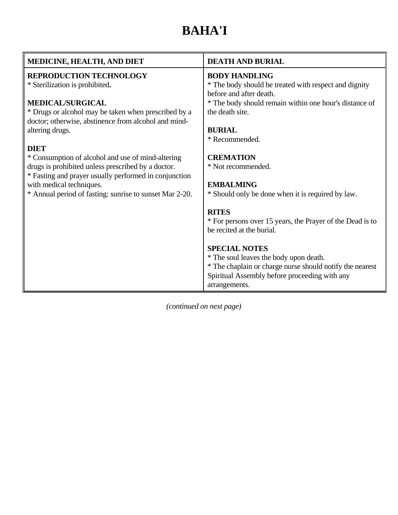# **BAHA'I**

| MEDICINE, HEALTH, AND DIET                                                                                   | <b>DEATH AND BURIAL</b>                                                   |
|--------------------------------------------------------------------------------------------------------------|---------------------------------------------------------------------------|
| <b>REPRODUCTION TECHNOLOGY</b>                                                                               | <b>BODY HANDLING</b>                                                      |
| * Sterilization is prohibited.                                                                               | * The body should be treated with respect and dignity                     |
|                                                                                                              | before and after death.                                                   |
| <b>MEDICAL/SURGICAL</b>                                                                                      | * The body should remain within one hour's distance of<br>the death site. |
| * Drugs or alcohol may be taken when prescribed by a<br>doctor; otherwise, abstinence from alcohol and mind- |                                                                           |
| altering drugs.                                                                                              | <b>BURIAL</b>                                                             |
|                                                                                                              | * Recommended.                                                            |
| <b>DIET</b>                                                                                                  |                                                                           |
| * Consumption of alcohol and use of mind-altering                                                            | <b>CREMATION</b>                                                          |
| drugs is prohibited unless prescribed by a doctor.                                                           | * Not recommended.                                                        |
| * Fasting and prayer usually performed in conjunction                                                        |                                                                           |
| with medical techniques.                                                                                     | <b>EMBALMING</b>                                                          |
| * Annual period of fasting: sunrise to sunset Mar 2-20.                                                      | * Should only be done when it is required by law.                         |
|                                                                                                              | <b>RITES</b>                                                              |
|                                                                                                              | * For persons over 15 years, the Prayer of the Dead is to                 |
|                                                                                                              | be recited at the burial.                                                 |
|                                                                                                              |                                                                           |
|                                                                                                              | <b>SPECIAL NOTES</b>                                                      |
|                                                                                                              | * The soul leaves the body upon death.                                    |
|                                                                                                              | * The chaplain or charge nurse should notify the nearest                  |
|                                                                                                              | Spiritual Assembly before proceeding with any                             |
|                                                                                                              | arrangements.                                                             |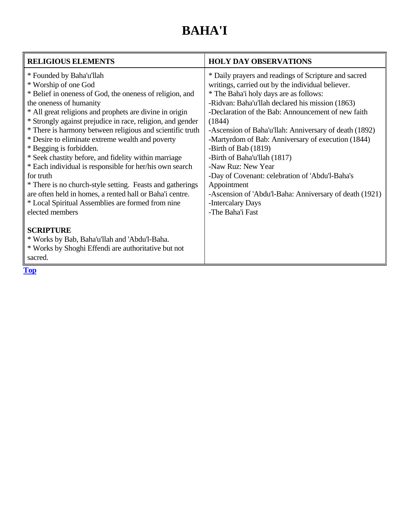# **BAHA'I**

| <b>RELIGIOUS ELEMENTS</b>                                                                                                                                                                                                                                                                                                                                                                                                                                                                                                                                                                                                                                                                                                                                                                                                                                                            | <b>HOLY DAY OBSERVATIONS</b>                                                                                                                                                                                                                                                                                                                                                                                                                                                                                                                                                                                                                |
|--------------------------------------------------------------------------------------------------------------------------------------------------------------------------------------------------------------------------------------------------------------------------------------------------------------------------------------------------------------------------------------------------------------------------------------------------------------------------------------------------------------------------------------------------------------------------------------------------------------------------------------------------------------------------------------------------------------------------------------------------------------------------------------------------------------------------------------------------------------------------------------|---------------------------------------------------------------------------------------------------------------------------------------------------------------------------------------------------------------------------------------------------------------------------------------------------------------------------------------------------------------------------------------------------------------------------------------------------------------------------------------------------------------------------------------------------------------------------------------------------------------------------------------------|
| * Founded by Baha'u'llah<br>* Worship of one God<br>* Belief in oneness of God, the oneness of religion, and<br>the oneness of humanity<br>* All great religions and prophets are divine in origin<br>* Strongly against prejudice in race, religion, and gender<br>* There is harmony between religious and scientific truth<br>* Desire to eliminate extreme wealth and poverty<br>* Begging is forbidden.<br>* Seek chastity before, and fidelity within marriage<br>* Each individual is responsible for her/his own search<br>for truth<br>* There is no church-style setting. Feasts and gatherings<br>are often held in homes, a rented hall or Baha'i centre.<br>* Local Spiritual Assemblies are formed from nine<br>elected members<br><b>SCRIPTURE</b><br>* Works by Bab, Baha'u'llah and 'Abdu'l-Baha.<br>* Works by Shoghi Effendi are authoritative but not<br>sacred. | * Daily prayers and readings of Scripture and sacred<br>writings, carried out by the individual believer.<br>* The Baha'i holy days are as follows:<br>-Ridvan: Baha'u'llah declared his mission (1863)<br>-Declaration of the Bab: Announcement of new faith<br>(1844)<br>-Ascension of Baha'u'llah: Anniversary of death (1892)<br>-Martyrdom of Bab: Anniversary of execution (1844)<br>-Birth of Bab (1819)<br>-Birth of Baha'u'llah (1817)<br>-Naw Ruz: New Year<br>-Day of Covenant: celebration of 'Abdu'l-Baha's<br>Appointment<br>-Ascension of 'Abdu'l-Baha: Anniversary of death (1921)<br>-Intercalary Days<br>-The Baha'i Fast |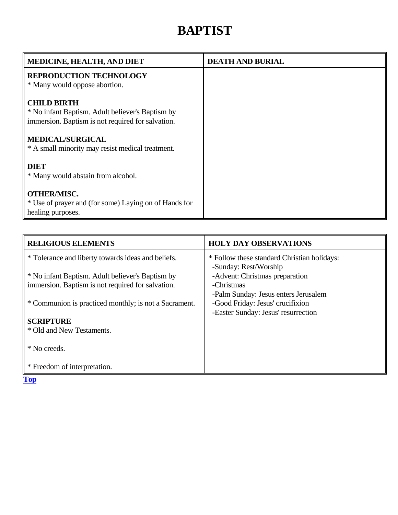### **BAPTIST**

<span id="page-9-0"></span>

| MEDICINE, HEALTH, AND DIET                                                                                                  | <b>DEATH AND BURIAL</b> |
|-----------------------------------------------------------------------------------------------------------------------------|-------------------------|
| <b>REPRODUCTION TECHNOLOGY</b><br>* Many would oppose abortion.                                                             |                         |
| <b>CHILD BIRTH</b><br>* No infant Baptism. Adult believer's Baptism by<br>immersion. Baptism is not required for salvation. |                         |
| <b>MEDICAL/SURGICAL</b><br>* A small minority may resist medical treatment.                                                 |                         |
| <b>DIET</b><br>* Many would abstain from alcohol.                                                                           |                         |
| <b>OTHER/MISC.</b><br>* Use of prayer and (for some) Laying on of Hands for<br>healing purposes.                            |                         |

| <b>RELIGIOUS ELEMENTS</b>                             | <b>HOLY DAY OBSERVATIONS</b>                |
|-------------------------------------------------------|---------------------------------------------|
| * Tolerance and liberty towards ideas and beliefs.    | * Follow these standard Christian holidays: |
|                                                       | -Sunday: Rest/Worship                       |
| * No infant Baptism. Adult believer's Baptism by      | -Advent: Christmas preparation              |
| immersion. Baptism is not required for salvation.     | -Christmas                                  |
|                                                       | -Palm Sunday: Jesus enters Jerusalem        |
| * Communion is practiced monthly; is not a Sacrament. | -Good Friday: Jesus' crucifixion            |
|                                                       | -Easter Sunday: Jesus' resurrection         |
| <b>SCRIPTURE</b>                                      |                                             |
| * Old and New Testaments.                             |                                             |
|                                                       |                                             |
| * No creeds.                                          |                                             |
|                                                       |                                             |
| * Freedom of interpretation.                          |                                             |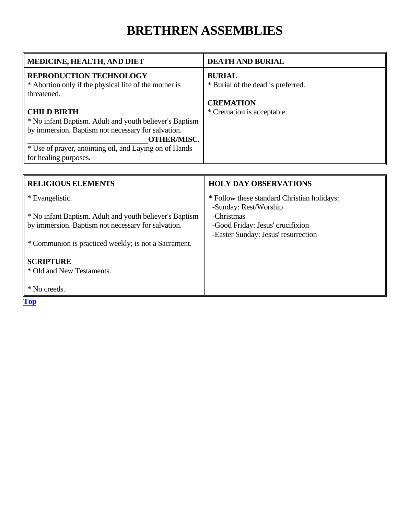### **BRETHREN ASSEMBLIES**

<span id="page-10-0"></span>

| MEDICINE, HEALTH, AND DIET                              | <b>DEATH AND BURIAL</b>            |
|---------------------------------------------------------|------------------------------------|
| <b>REPRODUCTION TECHNOLOGY</b>                          | <b>BURIAL</b>                      |
| * Abortion only if the physical life of the mother is   | * Burial of the dead is preferred. |
| threatened.                                             |                                    |
|                                                         | <b>CREMATION</b>                   |
| <b>CHILD BIRTH</b>                                      | * Cremation is acceptable.         |
| * No infant Baptism. Adult and youth believer's Baptism |                                    |
| by immersion. Baptism not necessary for salvation.      |                                    |
| <b>OTHER/MISC.</b>                                      |                                    |
| * Use of prayer, anointing oil, and Laying on of Hands  |                                    |
| for healing purposes.                                   |                                    |

| <b>RELIGIOUS ELEMENTS</b>                               | <b>HOLY DAY OBSERVATIONS</b>                                         |
|---------------------------------------------------------|----------------------------------------------------------------------|
| * Evangelistic.                                         | * Follow these standard Christian holidays:<br>-Sunday: Rest/Worship |
| * No infant Baptism. Adult and youth believer's Baptism | -Christmas                                                           |
| by immersion. Baptism not necessary for salvation.      | -Good Friday: Jesus' crucifixion                                     |
|                                                         | -Easter Sunday: Jesus' resurrection                                  |
| * Communion is practiced weekly; is not a Sacrament.    |                                                                      |
|                                                         |                                                                      |
| <b>SCRIPTURE</b>                                        |                                                                      |
| * Old and New Testaments.                               |                                                                      |
|                                                         |                                                                      |
| * No creeds.                                            |                                                                      |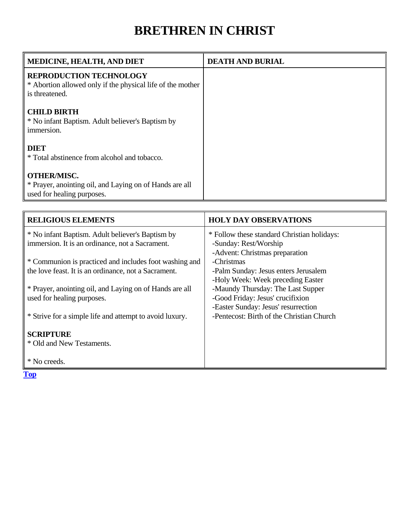### **BRETHREN IN CHRIST**

<span id="page-11-0"></span>

| <b>MEDICINE, HEALTH, AND DIET</b>                                                                              | <b>DEATH AND BURIAL</b> |
|----------------------------------------------------------------------------------------------------------------|-------------------------|
| <b>REPRODUCTION TECHNOLOGY</b><br>* Abortion allowed only if the physical life of the mother<br>is threatened. |                         |
| <b>CHILD BIRTH</b><br>* No infant Baptism. Adult believer's Baptism by<br>immersion.                           |                         |
| <b>DIET</b><br>* Total abstinence from alcohol and tobacco.                                                    |                         |
| <b>OTHER/MISC.</b><br>* Prayer, anointing oil, and Laying on of Hands are all<br>used for healing purposes.    |                         |

| <b>RELIGIOUS ELEMENTS</b>                               | <b>HOLY DAY OBSERVATIONS</b>                |
|---------------------------------------------------------|---------------------------------------------|
| * No infant Baptism. Adult believer's Baptism by        | * Follow these standard Christian holidays: |
| immersion. It is an ordinance, not a Sacrament.         | -Sunday: Rest/Worship                       |
|                                                         | -Advent: Christmas preparation              |
| * Communion is practiced and includes foot washing and  | -Christmas                                  |
| the love feast. It is an ordinance, not a Sacrament.    | -Palm Sunday: Jesus enters Jerusalem        |
|                                                         | -Holy Week: Week preceding Easter           |
| * Prayer, anointing oil, and Laying on of Hands are all | -Maundy Thursday: The Last Supper           |
| used for healing purposes.                              | -Good Friday: Jesus' crucifixion            |
|                                                         | -Easter Sunday: Jesus' resurrection         |
| * Strive for a simple life and attempt to avoid luxury. | -Pentecost: Birth of the Christian Church   |
|                                                         |                                             |
| <b>SCRIPTURE</b>                                        |                                             |
| * Old and New Testaments.                               |                                             |
|                                                         |                                             |
| * No creeds.                                            |                                             |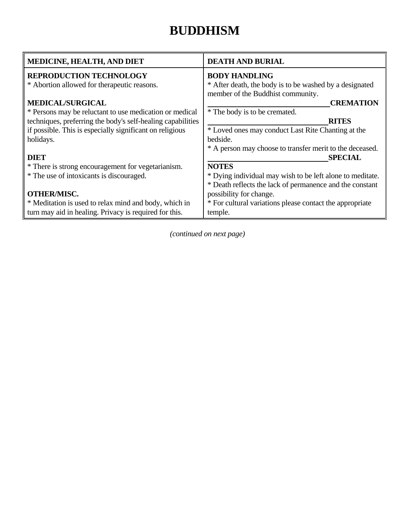#### **BUDDHISM**

<span id="page-12-0"></span>

| MEDICINE, HEALTH, AND DIET                                  | <b>DEATH AND BURIAL</b>                                   |
|-------------------------------------------------------------|-----------------------------------------------------------|
| <b>REPRODUCTION TECHNOLOGY</b>                              | <b>BODY HANDLING</b>                                      |
| * Abortion allowed for therapeutic reasons.                 | * After death, the body is to be washed by a designated   |
|                                                             | member of the Buddhist community.                         |
| <b>MEDICAL/SURGICAL</b>                                     | <b>CREMATION</b>                                          |
| * Persons may be reluctant to use medication or medical     | * The body is to be cremated.                             |
| techniques, preferring the body's self-healing capabilities | <b>RITES</b>                                              |
| if possible. This is especially significant on religious    | * Loved ones may conduct Last Rite Chanting at the        |
| holidays.                                                   | bedside.                                                  |
|                                                             | * A person may choose to transfer merit to the deceased.  |
| <b>DIET</b>                                                 | <b>SPECIAL</b>                                            |
| * There is strong encouragement for vegetarianism.          | <b>NOTES</b>                                              |
| * The use of intoxicants is discouraged.                    | * Dying individual may wish to be left alone to meditate. |
|                                                             | * Death reflects the lack of permanence and the constant  |
| <b>OTHER/MISC.</b>                                          | possibility for change.                                   |
| * Meditation is used to relax mind and body, which in       | * For cultural variations please contact the appropriate  |
| turn may aid in healing. Privacy is required for this.      | temple.                                                   |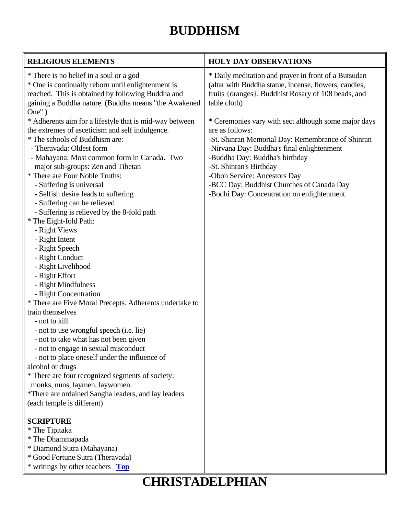### **BUDDHISM**

<span id="page-13-0"></span>

| <b>RELIGIOUS ELEMENTS</b>                                                                                                                                                                                                                                                                                                                                                                                                                                                                                                                                                                                                                                                                                                                                                                                                                                                                                                                                                                                                                                                                        | <b>HOLY DAY OBSERVATIONS</b>                                                                                                                                                                                                                                                                                                                                       |
|--------------------------------------------------------------------------------------------------------------------------------------------------------------------------------------------------------------------------------------------------------------------------------------------------------------------------------------------------------------------------------------------------------------------------------------------------------------------------------------------------------------------------------------------------------------------------------------------------------------------------------------------------------------------------------------------------------------------------------------------------------------------------------------------------------------------------------------------------------------------------------------------------------------------------------------------------------------------------------------------------------------------------------------------------------------------------------------------------|--------------------------------------------------------------------------------------------------------------------------------------------------------------------------------------------------------------------------------------------------------------------------------------------------------------------------------------------------------------------|
| * There is no belief in a soul or a god<br>* One is continually reborn until enlightenment is<br>reached. This is obtained by following Buddha and<br>gaining a Buddha nature. (Buddha means "the Awakened                                                                                                                                                                                                                                                                                                                                                                                                                                                                                                                                                                                                                                                                                                                                                                                                                                                                                       | * Daily meditation and prayer in front of a Butsudan<br>(altar with Buddha statue, incense, flowers, candles,<br>fruits {oranges}, Buddhist Rosary of 108 beads, and<br>table cloth)                                                                                                                                                                               |
| One''.<br>* Adherents aim for a lifestyle that is mid-way between<br>the extremes of asceticism and self indulgence.<br>* The schools of Buddhism are:<br>- Theravada: Oldest form<br>- Mahayana: Most common form in Canada. Two<br>major sub-groups: Zen and Tibetan<br>* There are Four Noble Truths:<br>- Suffering is universal<br>- Selfish desire leads to suffering<br>- Suffering can be relieved<br>- Suffering is relieved by the 8-fold path<br>* The Eight-fold Path:<br>- Right Views<br>- Right Intent<br>- Right Speech<br>- Right Conduct<br>- Right Livelihood<br>- Right Effort<br>- Right Mindfulness<br>- Right Concentration<br>* There are Five Moral Precepts. Adherents undertake to<br>train themselves<br>- not to kill<br>- not to use wrongful speech (i.e. lie)<br>- not to take what has not been given<br>- not to engage in sexual misconduct<br>- not to place oneself under the influence of<br>alcohol or drugs<br>* There are four recognized segments of society:<br>monks, nuns, laymen, laywomen.<br>*There are ordained Sangha leaders, and lay leaders | * Ceremonies vary with sect although some major days<br>are as follows:<br>-St. Shinran Memorial Day: Remembrance of Shinran<br>-Nirvana Day: Buddha's final enlightenment<br>-Buddha Day: Buddha's birthday<br>-St. Shinran's Birthday<br>-Obon Service: Ancestors Day<br>-BCC Day: Buddhist Churches of Canada Day<br>-Bodhi Day: Concentration on enlightenment |
| (each temple is different)                                                                                                                                                                                                                                                                                                                                                                                                                                                                                                                                                                                                                                                                                                                                                                                                                                                                                                                                                                                                                                                                       |                                                                                                                                                                                                                                                                                                                                                                    |
| <b>SCRIPTURE</b><br>* The Tipitaka<br>* The Dhammapada<br>* Diamond Sutra (Mahayana)<br>* Good Fortune Sutra (Theravada)<br>* writings by other teachers Top                                                                                                                                                                                                                                                                                                                                                                                                                                                                                                                                                                                                                                                                                                                                                                                                                                                                                                                                     |                                                                                                                                                                                                                                                                                                                                                                    |

### **CHRISTADELPHIAN**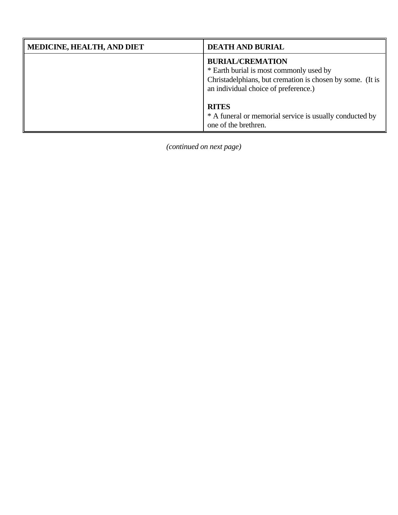| <b>MEDICINE, HEALTH, AND DIET</b> | <b>DEATH AND BURIAL</b>                                                                                                                                                 |
|-----------------------------------|-------------------------------------------------------------------------------------------------------------------------------------------------------------------------|
|                                   | <b>BURIAL/CREMATION</b><br>* Earth burial is most commonly used by<br>Christadelphians, but cremation is chosen by some. (It is<br>an individual choice of preference.) |
|                                   | <b>RITES</b><br>* A funeral or memorial service is usually conducted by<br>one of the brethren.                                                                         |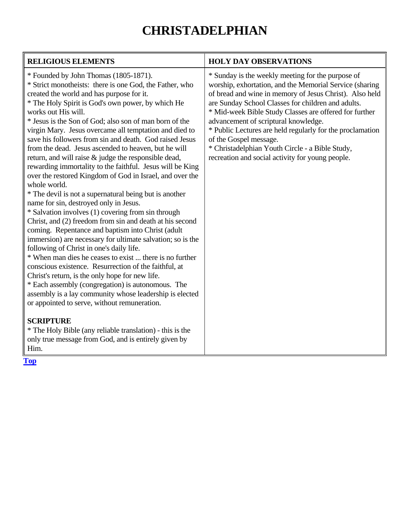# **CHRISTADELPHIAN**

| <b>RELIGIOUS ELEMENTS</b>                                                                                                                                                                                                                                                                                                                                                                                                                                                                                                                                                                                                                                                                                                                                                                                                                                                                                                                                                                                                                                                                                                                                                                                                                                                                                                                                                                                         | <b>HOLY DAY OBSERVATIONS</b>                                                                                                                                                                                                                                                                                                                                                                                                                                                                                                  |
|-------------------------------------------------------------------------------------------------------------------------------------------------------------------------------------------------------------------------------------------------------------------------------------------------------------------------------------------------------------------------------------------------------------------------------------------------------------------------------------------------------------------------------------------------------------------------------------------------------------------------------------------------------------------------------------------------------------------------------------------------------------------------------------------------------------------------------------------------------------------------------------------------------------------------------------------------------------------------------------------------------------------------------------------------------------------------------------------------------------------------------------------------------------------------------------------------------------------------------------------------------------------------------------------------------------------------------------------------------------------------------------------------------------------|-------------------------------------------------------------------------------------------------------------------------------------------------------------------------------------------------------------------------------------------------------------------------------------------------------------------------------------------------------------------------------------------------------------------------------------------------------------------------------------------------------------------------------|
| * Founded by John Thomas (1805-1871).<br>* Strict monotheists: there is one God, the Father, who<br>created the world and has purpose for it.<br>* The Holy Spirit is God's own power, by which He<br>works out His will.<br>* Jesus is the Son of God; also son of man born of the<br>virgin Mary. Jesus overcame all temptation and died to<br>save his followers from sin and death. God raised Jesus<br>from the dead. Jesus ascended to heaven, but he will<br>return, and will raise & judge the responsible dead,<br>rewarding immortality to the faithful. Jesus will be King<br>over the restored Kingdom of God in Israel, and over the<br>whole world.<br>* The devil is not a supernatural being but is another<br>name for sin, destroyed only in Jesus.<br>* Salvation involves (1) covering from sin through<br>Christ, and (2) freedom from sin and death at his second<br>coming. Repentance and baptism into Christ (adult<br>immersion) are necessary for ultimate salvation; so is the<br>following of Christ in one's daily life.<br>* When man dies he ceases to exist  there is no further<br>conscious existence. Resurrection of the faithful, at<br>Christ's return, is the only hope for new life.<br>* Each assembly (congregation) is autonomous. The<br>assembly is a lay community whose leadership is elected<br>or appointed to serve, without remuneration.<br><b>SCRIPTURE</b> | * Sunday is the weekly meeting for the purpose of<br>worship, exhortation, and the Memorial Service (sharing<br>of bread and wine in memory of Jesus Christ). Also held<br>are Sunday School Classes for children and adults.<br>* Mid-week Bible Study Classes are offered for further<br>advancement of scriptural knowledge.<br>* Public Lectures are held regularly for the proclamation<br>of the Gospel message.<br>* Christadelphian Youth Circle - a Bible Study,<br>recreation and social activity for young people. |
| * The Holy Bible (any reliable translation) - this is the<br>only true message from God, and is entirely given by<br>Him.                                                                                                                                                                                                                                                                                                                                                                                                                                                                                                                                                                                                                                                                                                                                                                                                                                                                                                                                                                                                                                                                                                                                                                                                                                                                                         |                                                                                                                                                                                                                                                                                                                                                                                                                                                                                                                               |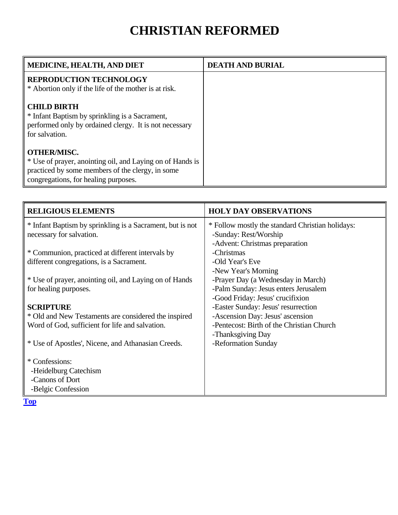#### **CHRISTIAN REFORMED**

<span id="page-16-0"></span>

| <b>MEDICINE, HEALTH, AND DIET</b>                         | <b>DEATH AND BURIAL</b> |
|-----------------------------------------------------------|-------------------------|
| <b>REPRODUCTION TECHNOLOGY</b>                            |                         |
| * Abortion only if the life of the mother is at risk.     |                         |
| <b>CHILD BIRTH</b>                                        |                         |
| * Infant Baptism by sprinkling is a Sacrament,            |                         |
| performed only by ordained clergy. It is not necessary    |                         |
| for salvation.                                            |                         |
|                                                           |                         |
| <b>OTHER/MISC.</b>                                        |                         |
| * Use of prayer, anointing oil, and Laying on of Hands is |                         |
| practiced by some members of the clergy, in some          |                         |
| congregations, for healing purposes.                      |                         |

| <b>RELIGIOUS ELEMENTS</b>                                 | <b>HOLY DAY OBSERVATIONS</b>                     |
|-----------------------------------------------------------|--------------------------------------------------|
| * Infant Baptism by sprinkling is a Sacrament, but is not | * Follow mostly the standard Christian holidays: |
| necessary for salvation.                                  | -Sunday: Rest/Worship                            |
|                                                           | -Advent: Christmas preparation                   |
| * Communion, practiced at different intervals by          | -Christmas                                       |
| different congregations, is a Sacrament.                  | -Old Year's Eve                                  |
|                                                           | -New Year's Morning                              |
| * Use of prayer, anointing oil, and Laying on of Hands    | -Prayer Day (a Wednesday in March)               |
| for healing purposes.                                     | -Palm Sunday: Jesus enters Jerusalem             |
|                                                           | -Good Friday: Jesus' crucifixion                 |
| <b>SCRIPTURE</b>                                          | -Easter Sunday: Jesus' resurrection              |
| * Old and New Testaments are considered the inspired      | -Ascension Day: Jesus' ascension                 |
| Word of God, sufficient for life and salvation.           | -Pentecost: Birth of the Christian Church        |
|                                                           | -Thanksgiving Day                                |
| * Use of Apostles', Nicene, and Athanasian Creeds.        | -Reformation Sunday                              |
| * Confessions:                                            |                                                  |
| -Heidelburg Catechism                                     |                                                  |
| -Canons of Dort                                           |                                                  |
| -Belgic Confession                                        |                                                  |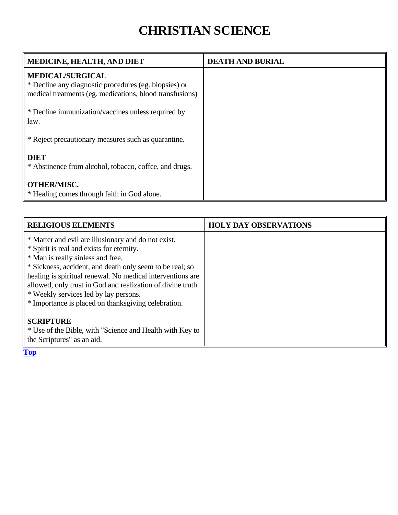### **CHRISTIAN SCIENCE**

<span id="page-17-0"></span>

| <b>MEDICINE, HEALTH, AND DIET</b>                                                                                                            | <b>DEATH AND BURIAL</b> |
|----------------------------------------------------------------------------------------------------------------------------------------------|-------------------------|
| <b>MEDICAL/SURGICAL</b><br>* Decline any diagnostic procedures (eg. biopsies) or<br>medical treatments (eg. medications, blood transfusions) |                         |
| * Decline immunization/vaccines unless required by<br>law.                                                                                   |                         |
| * Reject precautionary measures such as quarantine.                                                                                          |                         |
| <b>DIET</b><br>* Abstinence from alcohol, tobacco, coffee, and drugs.                                                                        |                         |
| <b>OTHER/MISC.</b><br>* Healing comes through faith in God alone.                                                                            |                         |

| <b>RELIGIOUS ELEMENTS</b>                                                                                                                                                                                                                                                                                                                                                                                                      | <b>HOLY DAY OBSERVATIONS</b> |
|--------------------------------------------------------------------------------------------------------------------------------------------------------------------------------------------------------------------------------------------------------------------------------------------------------------------------------------------------------------------------------------------------------------------------------|------------------------------|
| * Matter and evil are illusionary and do not exist.<br>* Spirit is real and exists for eternity.<br>* Man is really sinless and free.<br>* Sickness, accident, and death only seem to be real; so<br>healing is spiritual renewal. No medical interventions are<br>allowed, only trust in God and realization of divine truth.<br>* Weekly services led by lay persons.<br>* Importance is placed on thanksgiving celebration. |                              |
| <b>SCRIPTURE</b><br>* Use of the Bible, with "Science and Health with Key to<br>the Scriptures" as an aid.                                                                                                                                                                                                                                                                                                                     |                              |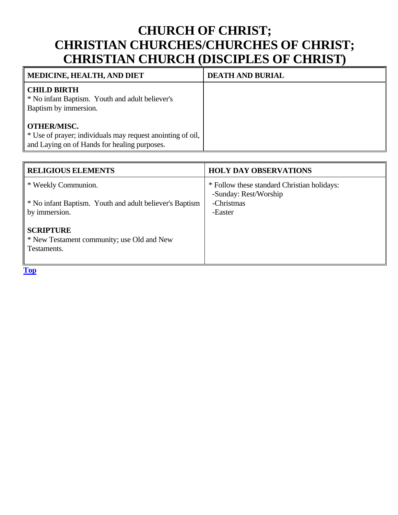#### <span id="page-18-0"></span>**CHURCH OF CHRIST; CHRISTIAN CHURCHES/CHURCHES OF CHRIST; CHRISTIAN CHURCH (DISCIPLES OF CHRIST)**

| <b>MEDICINE, HEALTH, AND DIET</b>                                                                                                | <b>DEATH AND BURIAL</b> |
|----------------------------------------------------------------------------------------------------------------------------------|-------------------------|
| <b>CHILD BIRTH</b><br>* No infant Baptism. Youth and adult believer's<br>Baptism by immersion.                                   |                         |
| <b>OTHER/MISC.</b><br>* Use of prayer; individuals may request anointing of oil,<br>and Laying on of Hands for healing purposes. |                         |

| <b>RELIGIOUS ELEMENTS</b>                                                     | <b>HOLY DAY OBSERVATIONS</b>                                         |
|-------------------------------------------------------------------------------|----------------------------------------------------------------------|
| * Weekly Communion.                                                           | * Follow these standard Christian holidays:<br>-Sunday: Rest/Worship |
| * No infant Baptism. Youth and adult believer's Baptism<br>by immersion.      | -Christmas<br>-Easter                                                |
| <b>SCRIPTURE</b><br>* New Testament community; use Old and New<br>Testaments. |                                                                      |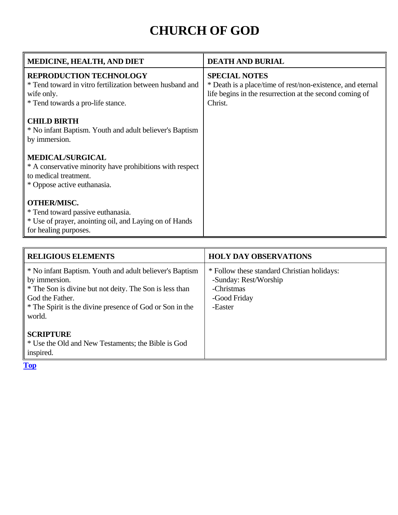# **CHURCH OF GOD**

<span id="page-19-0"></span>

| <b>MEDICINE, HEALTH, AND DIET</b>                                                                                                             | <b>DEATH AND BURIAL</b>                                                                                                                                  |
|-----------------------------------------------------------------------------------------------------------------------------------------------|----------------------------------------------------------------------------------------------------------------------------------------------------------|
| <b>REPRODUCTION TECHNOLOGY</b><br>* Tend toward in vitro fertilization between husband and<br>wife only.<br>* Tend towards a pro-life stance. | <b>SPECIAL NOTES</b><br>* Death is a place/time of rest/non-existence, and eternal<br>life begins in the resurrection at the second coming of<br>Christ. |
| <b>CHILD BIRTH</b><br>* No infant Baptism. Youth and adult believer's Baptism<br>by immersion.                                                |                                                                                                                                                          |
| <b>MEDICAL/SURGICAL</b><br>* A conservative minority have prohibitions with respect<br>to medical treatment.<br>* Oppose active euthanasia.   |                                                                                                                                                          |
| <b>OTHER/MISC.</b><br>* Tend toward passive euthanasia.<br>* Use of prayer, anointing oil, and Laying on of Hands<br>for healing purposes.    |                                                                                                                                                          |

| <b>RELIGIOUS ELEMENTS</b>                                                                                                                                                                                                    | <b>HOLY DAY OBSERVATIONS</b>                                                                                  |
|------------------------------------------------------------------------------------------------------------------------------------------------------------------------------------------------------------------------------|---------------------------------------------------------------------------------------------------------------|
| * No infant Baptism. Youth and adult believer's Baptism<br>by immersion.<br>* The Son is divine but not deity. The Son is less than<br>God the Father.<br>* The Spirit is the divine presence of God or Son in the<br>world. | * Follow these standard Christian holidays:<br>-Sunday: Rest/Worship<br>-Christmas<br>-Good Friday<br>-Easter |
| <b>SCRIPTURE</b><br>* Use the Old and New Testaments; the Bible is God<br>inspired.                                                                                                                                          |                                                                                                               |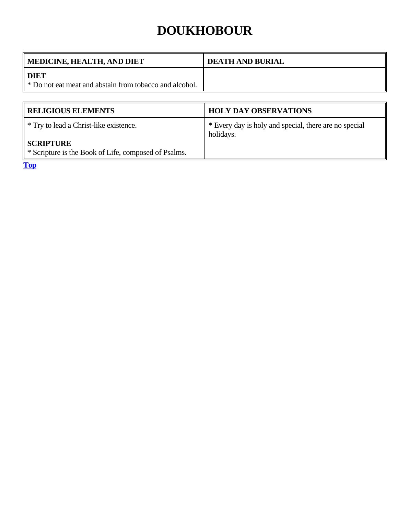### **DOUKHOBOUR**

<span id="page-20-0"></span>

| <b>DEATH AND BURIAL</b> |
|-------------------------|
|                         |
|                         |

| <b>RELIGIOUS ELEMENTS</b>                                                                                                     | <b>HOLY DAY OBSERVATIONS</b>                                       |
|-------------------------------------------------------------------------------------------------------------------------------|--------------------------------------------------------------------|
| <sup>*</sup> Try to lead a Christ-like existence.<br><b>SCRIPTURE</b><br>* Scripture is the Book of Life, composed of Psalms. | * Every day is holy and special, there are no special<br>holidays. |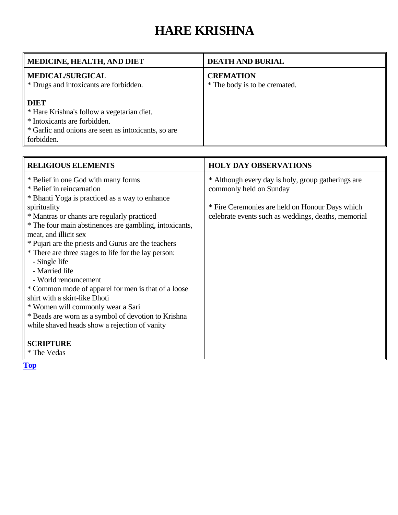# **HARE KRISHNA**

<span id="page-21-0"></span>

| MEDICINE, HEALTH, AND DIET                                                                                                                                     | <b>DEATH AND BURIAL</b>                           |
|----------------------------------------------------------------------------------------------------------------------------------------------------------------|---------------------------------------------------|
| <b>MEDICAL/SURGICAL</b><br>* Drugs and intoxicants are forbidden.                                                                                              | <b>CREMATION</b><br>* The body is to be cremated. |
| <b>DIET</b><br>* Hare Krishna's follow a vegetarian diet.<br>* Intoxicants are forbidden.<br>* Garlic and onions are seen as intoxicants, so are<br>forbidden. |                                                   |

| <b>RELIGIOUS ELEMENTS</b>                                                                                                                                                                                                                                                                                                                                                                                                                                                                                                                                                                                                                                                                               | <b>HOLY DAY OBSERVATIONS</b>                                                                                                                                                            |
|---------------------------------------------------------------------------------------------------------------------------------------------------------------------------------------------------------------------------------------------------------------------------------------------------------------------------------------------------------------------------------------------------------------------------------------------------------------------------------------------------------------------------------------------------------------------------------------------------------------------------------------------------------------------------------------------------------|-----------------------------------------------------------------------------------------------------------------------------------------------------------------------------------------|
| * Belief in one God with many forms<br>* Belief in reincarnation<br>* Bhanti Yoga is practiced as a way to enhance<br>spirituality<br>* Mantras or chants are regularly practiced<br>* The four main abstinences are gambling, intoxicants,<br>meat, and illicit sex<br>* Pujari are the priests and Gurus are the teachers<br>* There are three stages to life for the lay person:<br>- Single life<br>- Married life<br>- World renouncement<br>* Common mode of apparel for men is that of a loose<br>shirt with a skirt-like Dhoti<br>* Women will commonly wear a Sari<br>* Beads are worn as a symbol of devotion to Krishna<br>while shaved heads show a rejection of vanity<br><b>SCRIPTURE</b> | * Although every day is holy, group gatherings are<br>commonly held on Sunday<br>* Fire Ceremonies are held on Honour Days which<br>celebrate events such as weddings, deaths, memorial |
| * The Vedas                                                                                                                                                                                                                                                                                                                                                                                                                                                                                                                                                                                                                                                                                             |                                                                                                                                                                                         |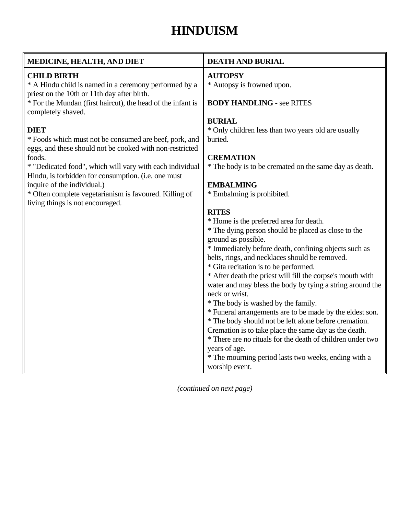### **HINDUISM**

<span id="page-22-0"></span>

| MEDICINE, HEALTH, AND DIET                                                                                         | <b>DEATH AND BURIAL</b>                                                     |
|--------------------------------------------------------------------------------------------------------------------|-----------------------------------------------------------------------------|
| <b>CHILD BIRTH</b>                                                                                                 | <b>AUTOPSY</b>                                                              |
| * A Hindu child is named in a ceremony performed by a                                                              | * Autopsy is frowned upon.                                                  |
| priest on the 10th or 11th day after birth.<br>* For the Mundan (first haircut), the head of the infant is         | <b>BODY HANDLING - see RITES</b>                                            |
| completely shaved.                                                                                                 |                                                                             |
|                                                                                                                    | <b>BURIAL</b>                                                               |
| <b>DIET</b>                                                                                                        | * Only children less than two years old are usually                         |
| * Foods which must not be consumed are beef, pork, and<br>eggs, and these should not be cooked with non-restricted | buried.                                                                     |
| foods.                                                                                                             | <b>CREMATION</b>                                                            |
| * "Dedicated food", which will vary with each individual<br>Hindu, is forbidden for consumption. (i.e. one must    | * The body is to be cremated on the same day as death.                      |
| inquire of the individual.)                                                                                        | <b>EMBALMING</b>                                                            |
| * Often complete vegetarianism is favoured. Killing of<br>living things is not encouraged.                         | * Embalming is prohibited.                                                  |
|                                                                                                                    | <b>RITES</b>                                                                |
|                                                                                                                    | * Home is the preferred area for death.                                     |
|                                                                                                                    | * The dying person should be placed as close to the                         |
|                                                                                                                    | ground as possible.                                                         |
|                                                                                                                    | * Immediately before death, confining objects such as                       |
|                                                                                                                    | belts, rings, and necklaces should be removed.                              |
|                                                                                                                    | * Gita recitation is to be performed.                                       |
|                                                                                                                    | * After death the priest will fill the corpse's mouth with                  |
|                                                                                                                    | water and may bless the body by tying a string around the<br>neck or wrist. |
|                                                                                                                    | * The body is washed by the family.                                         |
|                                                                                                                    | * Funeral arrangements are to be made by the eldest son.                    |
|                                                                                                                    | * The body should not be left alone before cremation.                       |
|                                                                                                                    | Cremation is to take place the same day as the death.                       |
|                                                                                                                    | * There are no rituals for the death of children under two                  |
|                                                                                                                    | years of age.                                                               |
|                                                                                                                    | * The mourning period lasts two weeks, ending with a                        |
|                                                                                                                    | worship event.                                                              |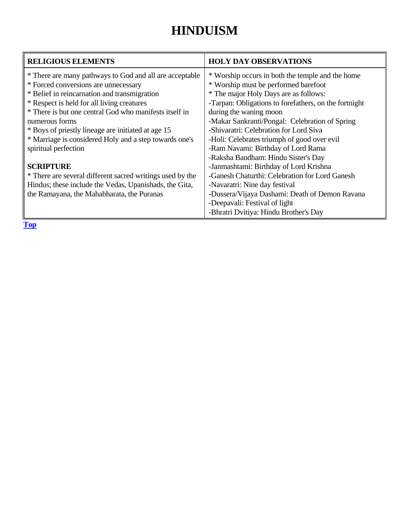### **HINDUISM**

| <b>RELIGIOUS ELEMENTS</b>                                 | <b>HOLY DAY OBSERVATIONS</b>                          |
|-----------------------------------------------------------|-------------------------------------------------------|
| * There are many pathways to God and all are acceptable   | * Worship occurs in both the temple and the home      |
| * Forced conversions are unnecessary                      | * Worship must be performed barefoot                  |
| * Belief in reincarnation and transmigration              | * The major Holy Days are as follows:                 |
| * Respect is held for all living creatures                | -Tarpan: Obligations to forefathers, on the fortnight |
| * There is but one central God who manifests itself in    | during the waning moon                                |
| numerous forms                                            | -Makar Sankranti/Pongal: Celebration of Spring        |
| * Boys of priestly lineage are initiated at age 15        | -Shivaratri: Celebration for Lord Siva                |
| * Marriage is considered Holy and a step towards one's    | -Holi: Celebrates triumph of good over evil           |
| spiritual perfection                                      | -Ram Navami: Birthday of Lord Rama                    |
|                                                           | -Raksha Bandham: Hindu Sister's Day                   |
| <b>SCRIPTURE</b>                                          | -Janmashtami: Birthday of Lord Krishna                |
| * There are several different sacred writings used by the | -Ganesh Chaturthi: Celebration for Lord Ganesh        |
| Hindus; these include the Vedas, Upanishads, the Gita,    | -Navaratri: Nine day festival                         |
| the Ramayana, the Mahabharata, the Puranas                | -Dussera/Vijaya Dashami: Death of Demon Ravana        |
|                                                           | -Deepavali: Festival of light                         |
|                                                           | -Bhratri Dvitiya: Hindu Brother's Day                 |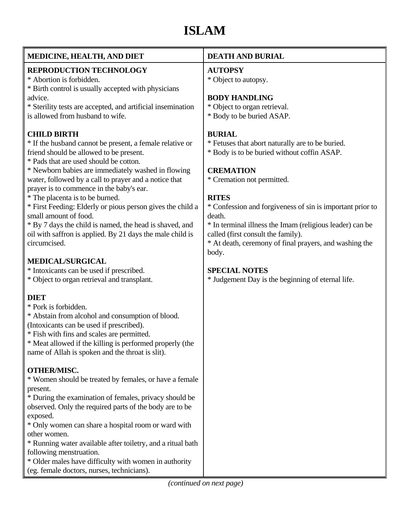# **ISLAM**

<span id="page-24-0"></span>

| MEDICINE, HEALTH, AND DIET                                                                                                                                                                                                                                                                                                                                                                                                                                                                                                                                                                       | <b>DEATH AND BURIAL</b>                                                                                                                                                                                                                                                                                                                                                                                                        |
|--------------------------------------------------------------------------------------------------------------------------------------------------------------------------------------------------------------------------------------------------------------------------------------------------------------------------------------------------------------------------------------------------------------------------------------------------------------------------------------------------------------------------------------------------------------------------------------------------|--------------------------------------------------------------------------------------------------------------------------------------------------------------------------------------------------------------------------------------------------------------------------------------------------------------------------------------------------------------------------------------------------------------------------------|
| <b>REPRODUCTION TECHNOLOGY</b><br>* Abortion is forbidden.<br>* Birth control is usually accepted with physicians<br>advice.<br>* Sterility tests are accepted, and artificial insemination<br>is allowed from husband to wife.                                                                                                                                                                                                                                                                                                                                                                  | <b>AUTOPSY</b><br>* Object to autopsy.<br><b>BODY HANDLING</b><br>* Object to organ retrieval.<br>* Body to be buried ASAP.                                                                                                                                                                                                                                                                                                    |
| <b>CHILD BIRTH</b><br>* If the husband cannot be present, a female relative or<br>friend should be allowed to be present.<br>* Pads that are used should be cotton.<br>* Newborn babies are immediately washed in flowing<br>water, followed by a call to prayer and a notice that<br>prayer is to commence in the baby's ear.<br>* The placenta is to be burned.<br>* First Feeding: Elderly or pious person gives the child a<br>small amount of food.<br>* By 7 days the child is named, the head is shaved, and<br>oil with saffron is applied. By 21 days the male child is<br>circumcised. | <b>BURIAL</b><br>* Fetuses that abort naturally are to be buried.<br>* Body is to be buried without coffin ASAP.<br><b>CREMATION</b><br>* Cremation not permitted.<br><b>RITES</b><br>* Confession and forgiveness of sin is important prior to<br>death.<br>* In terminal illness the Imam (religious leader) can be<br>called (first consult the family).<br>* At death, ceremony of final prayers, and washing the<br>body. |
| <b>MEDICAL/SURGICAL</b><br>* Intoxicants can be used if prescribed.<br>* Object to organ retrieval and transplant.                                                                                                                                                                                                                                                                                                                                                                                                                                                                               | <b>SPECIAL NOTES</b><br>* Judgement Day is the beginning of eternal life.                                                                                                                                                                                                                                                                                                                                                      |
| <b>DIET</b><br>* Pork is forbidden.<br>* Abstain from alcohol and consumption of blood.<br>(Intoxicants can be used if prescribed).<br>* Fish with fins and scales are permitted.<br>* Meat allowed if the killing is performed properly (the<br>name of Allah is spoken and the throat is slit).                                                                                                                                                                                                                                                                                                |                                                                                                                                                                                                                                                                                                                                                                                                                                |
| <b>OTHER/MISC.</b><br>* Women should be treated by females, or have a female<br>present.<br>* During the examination of females, privacy should be<br>observed. Only the required parts of the body are to be<br>exposed.<br>* Only women can share a hospital room or ward with<br>other women.<br>* Running water available after toiletry, and a ritual bath<br>following menstruation.<br>* Older males have difficulty with women in authority<br>(eg. female doctors, nurses, technicians).                                                                                                |                                                                                                                                                                                                                                                                                                                                                                                                                                |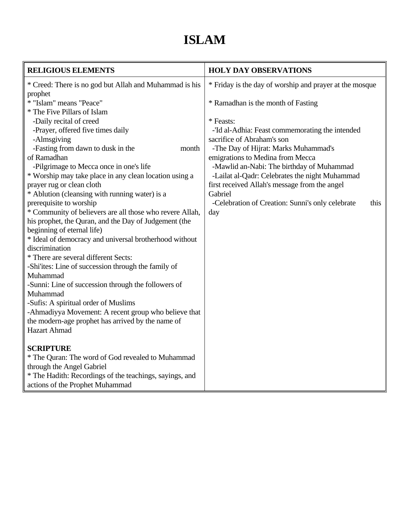# **ISLAM**

| <b>RELIGIOUS ELEMENTS</b>                                | <b>HOLY DAY OBSERVATIONS</b>                             |
|----------------------------------------------------------|----------------------------------------------------------|
| * Creed: There is no god but Allah and Muhammad is his   | * Friday is the day of worship and prayer at the mosque  |
| prophet                                                  |                                                          |
| * "Islam" means "Peace"                                  | * Ramadhan is the month of Fasting                       |
| * The Five Pillars of Islam                              |                                                          |
| -Daily recital of creed                                  | * Feasts:                                                |
| -Prayer, offered five times daily                        | -'Id al-Adhia: Feast commemorating the intended          |
| -Almsgiving                                              | sacrifice of Abraham's son                               |
| -Fasting from dawn to dusk in the<br>month               | -The Day of Hijrat: Marks Muhammad's                     |
| of Ramadhan                                              | emigrations to Medina from Mecca                         |
| -Pilgrimage to Mecca once in one's life                  | -Mawlid an-Nabi: The birthday of Muhammad                |
| * Worship may take place in any clean location using a   | -Lailat al-Qadr: Celebrates the night Muhammad           |
| prayer rug or clean cloth                                | first received Allah's message from the angel            |
| * Ablution (cleansing with running water) is a           | Gabriel                                                  |
| prerequisite to worship                                  | -Celebration of Creation: Sunni's only celebrate<br>this |
| * Community of believers are all those who revere Allah, | day                                                      |
| his prophet, the Quran, and the Day of Judgement (the    |                                                          |
| beginning of eternal life)                               |                                                          |
| * Ideal of democracy and universal brotherhood without   |                                                          |
| discrimination                                           |                                                          |
| * There are several different Sects:                     |                                                          |
| -Shi'ites: Line of succession through the family of      |                                                          |
| Muhammad                                                 |                                                          |
| -Sunni: Line of succession through the followers of      |                                                          |
| Muhammad                                                 |                                                          |
| -Sufis: A spiritual order of Muslims                     |                                                          |
| -Ahmadiyya Movement: A recent group who believe that     |                                                          |
| the modern-age prophet has arrived by the name of        |                                                          |
| <b>Hazart Ahmad</b>                                      |                                                          |
| <b>SCRIPTURE</b>                                         |                                                          |
| * The Quran: The word of God revealed to Muhammad        |                                                          |
| through the Angel Gabriel                                |                                                          |
| * The Hadith: Recordings of the teachings, sayings, and  |                                                          |
| actions of the Prophet Muhammad                          |                                                          |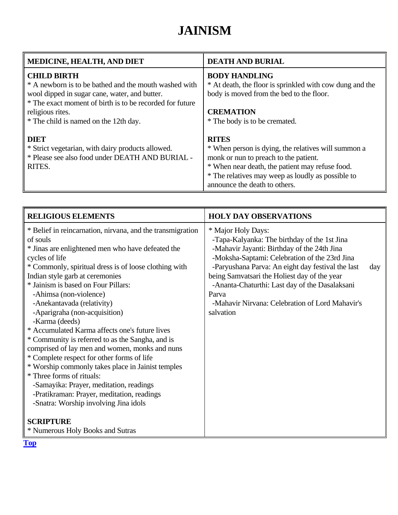# **JAINISM**

<span id="page-26-0"></span>

| <b>MEDICINE, HEALTH, AND DIET</b>                                                                                                                                                                                                                     | <b>DEATH AND BURIAL</b>                                                                                                                                                                                                                               |
|-------------------------------------------------------------------------------------------------------------------------------------------------------------------------------------------------------------------------------------------------------|-------------------------------------------------------------------------------------------------------------------------------------------------------------------------------------------------------------------------------------------------------|
| <b>CHILD BIRTH</b><br>* A newborn is to be bathed and the mouth washed with<br>wool dipped in sugar cane, water, and butter.<br>* The exact moment of birth is to be recorded for future<br>religious rites.<br>* The child is named on the 12th day. | <b>BODY HANDLING</b><br>* At death, the floor is sprinkled with cow dung and the<br>body is moved from the bed to the floor.<br><b>CREMATION</b><br>* The body is to be cremated.                                                                     |
| <b>DIET</b><br>* Strict vegetarian, with dairy products allowed.<br>* Please see also food under DEATH AND BURIAL -<br>RITES.                                                                                                                         | <b>RITES</b><br>* When person is dying, the relatives will summon a<br>monk or nun to preach to the patient.<br>* When near death, the patient may refuse food.<br>* The relatives may weep as loudly as possible to<br>announce the death to others. |

| <b>RELIGIOUS ELEMENTS</b>                                                                                                                                                                                                                                                                                                                                                                                                                                                                                                                                                                                                                                                                                                                                                                                             | <b>HOLY DAY OBSERVATIONS</b>                                                                                                                                                                                                                                                                                                                                                                       |     |
|-----------------------------------------------------------------------------------------------------------------------------------------------------------------------------------------------------------------------------------------------------------------------------------------------------------------------------------------------------------------------------------------------------------------------------------------------------------------------------------------------------------------------------------------------------------------------------------------------------------------------------------------------------------------------------------------------------------------------------------------------------------------------------------------------------------------------|----------------------------------------------------------------------------------------------------------------------------------------------------------------------------------------------------------------------------------------------------------------------------------------------------------------------------------------------------------------------------------------------------|-----|
| * Belief in reincarnation, nirvana, and the transmigration<br>of souls<br>* Jinas are enlightened men who have defeated the<br>cycles of life<br>* Commonly, spiritual dress is of loose clothing with<br>Indian style garb at ceremonies<br>* Jainism is based on Four Pillars:<br>-Ahimsa (non-violence)<br>-Anekantavada (relativity)<br>-Aparigraha (non-acquisition)<br>-Karma (deeds)<br>* Accumulated Karma affects one's future lives<br>* Community is referred to as the Sangha, and is<br>comprised of lay men and women, monks and nuns<br>* Complete respect for other forms of life<br>* Worship commonly takes place in Jainist temples<br>* Three forms of rituals:<br>-Samayika: Prayer, meditation, readings<br>-Pratikraman: Prayer, meditation, readings<br>-Snatra: Worship involving Jina idols | * Major Holy Days:<br>-Tapa-Kalyanka: The birthday of the 1st Jina<br>-Mahavir Jayanti: Birthday of the 24th Jina<br>-Moksha-Saptami: Celebration of the 23rd Jina<br>-Paryushana Parva: An eight day festival the last<br>being Samvatsari the Holiest day of the year<br>-Ananta-Chaturthi: Last day of the Dasalaksani<br>Parva<br>-Mahavir Nirvana: Celebration of Lord Mahavir's<br>salvation | day |
| <b>SCRIPTURE</b>                                                                                                                                                                                                                                                                                                                                                                                                                                                                                                                                                                                                                                                                                                                                                                                                      |                                                                                                                                                                                                                                                                                                                                                                                                    |     |
| * Numerous Holy Books and Sutras                                                                                                                                                                                                                                                                                                                                                                                                                                                                                                                                                                                                                                                                                                                                                                                      |                                                                                                                                                                                                                                                                                                                                                                                                    |     |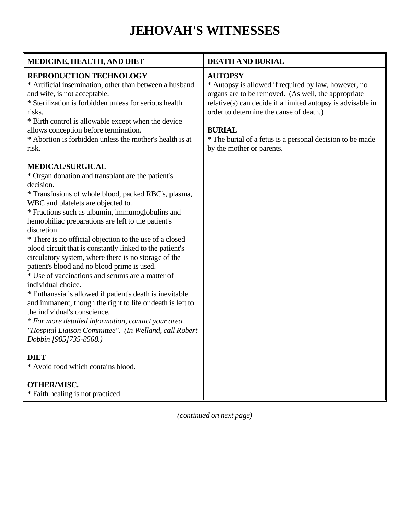# **JEHOVAH'S WITNESSES**

<span id="page-27-0"></span>

| MEDICINE, HEALTH, AND DIET                                                                                                                                                                                                                                                                                                                                                                                                                                                                                                                                                                                                                                                                                                                                                                                                                                                                                                                  | <b>DEATH AND BURIAL</b>                                                                                                                                                                                                                                                                                                                            |
|---------------------------------------------------------------------------------------------------------------------------------------------------------------------------------------------------------------------------------------------------------------------------------------------------------------------------------------------------------------------------------------------------------------------------------------------------------------------------------------------------------------------------------------------------------------------------------------------------------------------------------------------------------------------------------------------------------------------------------------------------------------------------------------------------------------------------------------------------------------------------------------------------------------------------------------------|----------------------------------------------------------------------------------------------------------------------------------------------------------------------------------------------------------------------------------------------------------------------------------------------------------------------------------------------------|
| <b>REPRODUCTION TECHNOLOGY</b><br>* Artificial insemination, other than between a husband<br>and wife, is not acceptable.<br>* Sterilization is forbidden unless for serious health<br>risks.<br>* Birth control is allowable except when the device<br>allows conception before termination.<br>* Abortion is forbidden unless the mother's health is at<br>risk.                                                                                                                                                                                                                                                                                                                                                                                                                                                                                                                                                                          | <b>AUTOPSY</b><br>* Autopsy is allowed if required by law, however, no<br>organs are to be removed. (As well, the appropriate<br>relative(s) can decide if a limited autopsy is advisable in<br>order to determine the cause of death.)<br><b>BURIAL</b><br>* The burial of a fetus is a personal decision to be made<br>by the mother or parents. |
| <b>MEDICAL/SURGICAL</b><br>* Organ donation and transplant are the patient's<br>decision.<br>* Transfusions of whole blood, packed RBC's, plasma,<br>WBC and platelets are objected to.<br>* Fractions such as albumin, immunoglobulins and<br>hemophiliac preparations are left to the patient's<br>discretion.<br>* There is no official objection to the use of a closed<br>blood circuit that is constantly linked to the patient's<br>circulatory system, where there is no storage of the<br>patient's blood and no blood prime is used.<br>* Use of vaccinations and serums are a matter of<br>individual choice.<br>* Euthanasia is allowed if patient's death is inevitable<br>and immanent, though the right to life or death is left to<br>the individual's conscience.<br>* For more detailed information, contact your area<br>"Hospital Liaison Committee". (In Welland, call Robert<br>Dobbin [905]735-8568.)<br><b>DIET</b> |                                                                                                                                                                                                                                                                                                                                                    |
| * Avoid food which contains blood.                                                                                                                                                                                                                                                                                                                                                                                                                                                                                                                                                                                                                                                                                                                                                                                                                                                                                                          |                                                                                                                                                                                                                                                                                                                                                    |
| <b>OTHER/MISC.</b><br>* Faith healing is not practiced.                                                                                                                                                                                                                                                                                                                                                                                                                                                                                                                                                                                                                                                                                                                                                                                                                                                                                     |                                                                                                                                                                                                                                                                                                                                                    |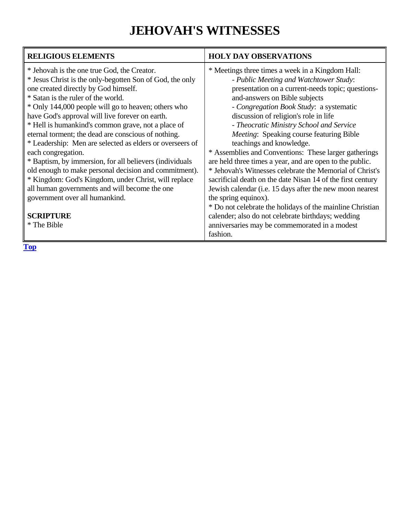### **JEHOVAH'S WITNESSES**

| <b>HOLY DAY OBSERVATIONS</b>                                                                                                                                                                                                                                                                                                                                                                                                                                                                                                                                                                                                                                                                                                                                                                                                                                                                     |
|--------------------------------------------------------------------------------------------------------------------------------------------------------------------------------------------------------------------------------------------------------------------------------------------------------------------------------------------------------------------------------------------------------------------------------------------------------------------------------------------------------------------------------------------------------------------------------------------------------------------------------------------------------------------------------------------------------------------------------------------------------------------------------------------------------------------------------------------------------------------------------------------------|
| * Meetings three times a week in a Kingdom Hall:<br>- Public Meeting and Watchtower Study:<br>presentation on a current-needs topic; questions-<br>and-answers on Bible subjects<br>- Congregation Book Study: a systematic<br>discussion of religion's role in life<br>- Theocratic Ministry School and Service<br>Meeting: Speaking course featuring Bible<br>teachings and knowledge.<br>* Assemblies and Conventions: These larger gatherings<br>are held three times a year, and are open to the public.<br>* Jehovah's Witnesses celebrate the Memorial of Christ's<br>sacrificial death on the date Nisan 14 of the first century<br>Jewish calendar (i.e. 15 days after the new moon nearest<br>the spring equinox).<br>* Do not celebrate the holidays of the mainline Christian<br>calender; also do not celebrate birthdays; wedding<br>anniversaries may be commemorated in a modest |
| fashion.                                                                                                                                                                                                                                                                                                                                                                                                                                                                                                                                                                                                                                                                                                                                                                                                                                                                                         |
|                                                                                                                                                                                                                                                                                                                                                                                                                                                                                                                                                                                                                                                                                                                                                                                                                                                                                                  |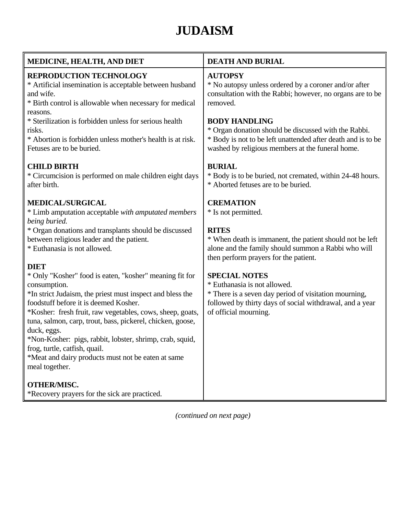# **JUDAISM**

<span id="page-29-0"></span>

| <b>MEDICINE, HEALTH, AND DIET</b>                                                                                                                                                                                                                                                                                                                                                                                                                                                            | <b>DEATH AND BURIAL</b>                                                                                                                                                                                             |
|----------------------------------------------------------------------------------------------------------------------------------------------------------------------------------------------------------------------------------------------------------------------------------------------------------------------------------------------------------------------------------------------------------------------------------------------------------------------------------------------|---------------------------------------------------------------------------------------------------------------------------------------------------------------------------------------------------------------------|
| <b>REPRODUCTION TECHNOLOGY</b><br>* Artificial insemination is acceptable between husband<br>and wife.<br>* Birth control is allowable when necessary for medical                                                                                                                                                                                                                                                                                                                            | <b>AUTOPSY</b><br>* No autopsy unless ordered by a coroner and/or after<br>consultation with the Rabbi; however, no organs are to be<br>removed.                                                                    |
| reasons.<br>* Sterilization is forbidden unless for serious health<br>risks.<br>* Abortion is forbidden unless mother's health is at risk.<br>Fetuses are to be buried.                                                                                                                                                                                                                                                                                                                      | <b>BODY HANDLING</b><br>* Organ donation should be discussed with the Rabbi.<br>* Body is not to be left unattended after death and is to be<br>washed by religious members at the funeral home.                    |
| <b>CHILD BIRTH</b><br>* Circumcision is performed on male children eight days<br>after birth.                                                                                                                                                                                                                                                                                                                                                                                                | <b>BURIAL</b><br>* Body is to be buried, not cremated, within 24-48 hours.<br>* Aborted fetuses are to be buried.                                                                                                   |
| <b>MEDICAL/SURGICAL</b><br>* Limb amputation acceptable with amputated members<br>being buried.<br>* Organ donations and transplants should be discussed<br>between religious leader and the patient.<br>* Euthanasia is not allowed.<br><b>DIET</b>                                                                                                                                                                                                                                         | <b>CREMATION</b><br>* Is not permitted.<br><b>RITES</b><br>* When death is immanent, the patient should not be left<br>alone and the family should summon a Rabbi who will<br>then perform prayers for the patient. |
| * Only "Kosher" food is eaten, "kosher" meaning fit for<br>consumption.<br>*In strict Judaism, the priest must inspect and bless the<br>foodstuff before it is deemed Kosher.<br>*Kosher: fresh fruit, raw vegetables, cows, sheep, goats,<br>tuna, salmon, carp, trout, bass, pickerel, chicken, goose,<br>duck, eggs.<br>*Non-Kosher: pigs, rabbit, lobster, shrimp, crab, squid,<br>frog, turtle, catfish, quail.<br>*Meat and dairy products must not be eaten at same<br>meal together. | <b>SPECIAL NOTES</b><br>* Euthanasia is not allowed.<br>* There is a seven day period of visitation mourning,<br>followed by thirty days of social withdrawal, and a year<br>of official mourning.                  |
| <b>OTHER/MISC.</b><br>*Recovery prayers for the sick are practiced.                                                                                                                                                                                                                                                                                                                                                                                                                          |                                                                                                                                                                                                                     |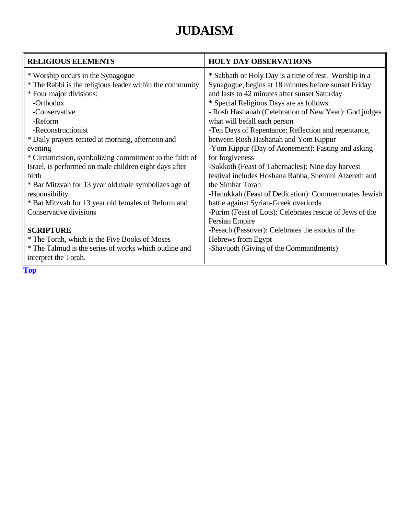# **JUDAISM**

| <b>RELIGIOUS ELEMENTS</b>                                | <b>HOLY DAY OBSERVATIONS</b>                             |
|----------------------------------------------------------|----------------------------------------------------------|
| * Worship occurs in the Synagogue                        | * Sabbath or Holy Day is a time of rest. Worship in a    |
| * The Rabbi is the religious leader within the community | Synagogue, begins at 18 minutes before sunset Friday     |
| * Four major divisions:                                  | and lasts to 42 minutes after sunset Saturday            |
| -Orthodox                                                | * Special Religious Days are as follows:                 |
| -Conservative                                            | - Rosh Hashanah (Celebration of New Year): God judges    |
| -Reform                                                  | what will befall each person                             |
| -Reconstructionist                                       | -Ten Days of Repentance: Reflection and repentance,      |
| * Daily prayers recited at morning, afternoon and        | between Rosh Hashanah and Yom Kippur                     |
| evening                                                  | -Yom Kippur (Day of Atonement): Fasting and asking       |
| * Circumcision, symbolizing commitment to the faith of   | for forgiveness                                          |
| Israel, is performed on male children eight days after   | -Sukkoth (Feast of Tabernacles): Nine day harvest        |
| birth                                                    | festival includes Hoshana Rabba, Shemini Atzereth and    |
| * Bar Mitzvah for 13 year old male symbolizes age of     | the Simhat Torah                                         |
| responsibility                                           | -Hanukkah (Feast of Dedication): Commemorates Jewish     |
| * Bat Mitzvah for 13 year old females of Reform and      | battle against Syrian-Greek overlords                    |
| Conservative divisions                                   | -Purim (Feast of Lots): Celebrates rescue of Jews of the |
|                                                          | Persian Empire                                           |
| <b>SCRIPTURE</b>                                         | -Pesach (Passover): Celebrates the exodus of the         |
| * The Torah, which is the Five Books of Moses            | Hebrews from Egypt                                       |
| * The Talmud is the series of works which outline and    | -Shavuoth (Giving of the Commandments)                   |
| interpret the Torah.                                     |                                                          |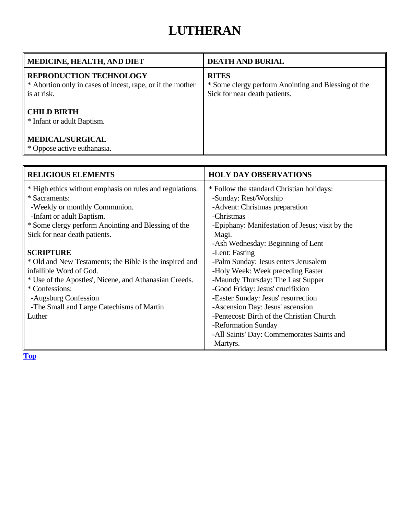### **LUTHERAN**

<span id="page-31-0"></span>

| <b>MEDICINE, HEALTH, AND DIET</b>                                                                           | <b>DEATH AND BURIAL</b>                                                                              |
|-------------------------------------------------------------------------------------------------------------|------------------------------------------------------------------------------------------------------|
| <b>REPRODUCTION TECHNOLOGY</b><br>* Abortion only in cases of incest, rape, or if the mother<br>is at risk. | <b>RITES</b><br>* Some clergy perform Anointing and Blessing of the<br>Sick for near death patients. |
| <b>CHILD BIRTH</b><br>* Infant or adult Baptism.                                                            |                                                                                                      |
| <b>MEDICAL/SURGICAL</b><br>* Oppose active euthanasia.                                                      |                                                                                                      |

| <b>RELIGIOUS ELEMENTS</b>                                | <b>HOLY DAY OBSERVATIONS</b>                    |
|----------------------------------------------------------|-------------------------------------------------|
| * High ethics without emphasis on rules and regulations. | * Follow the standard Christian holidays:       |
| * Sacraments:                                            | -Sunday: Rest/Worship                           |
| -Weekly or monthly Communion.                            | -Advent: Christmas preparation                  |
| -Infant or adult Baptism.                                | -Christmas                                      |
| * Some clergy perform Anointing and Blessing of the      | -Epiphany: Manifestation of Jesus; visit by the |
| Sick for near death patients.                            | Magi.                                           |
|                                                          | -Ash Wednesday: Beginning of Lent               |
| <b>SCRIPTURE</b>                                         | -Lent: Fasting                                  |
| * Old and New Testaments; the Bible is the inspired and  | -Palm Sunday: Jesus enters Jerusalem            |
| infallible Word of God.                                  | -Holy Week: Week preceding Easter               |
| * Use of the Apostles', Nicene, and Athanasian Creeds.   | -Maundy Thursday: The Last Supper               |
| * Confessions:                                           | -Good Friday: Jesus' crucifixion                |
| -Augsburg Confession                                     | -Easter Sunday: Jesus' resurrection             |
| -The Small and Large Catechisms of Martin                | -Ascension Day: Jesus' ascension                |
| Luther                                                   | -Pentecost: Birth of the Christian Church       |
|                                                          | -Reformation Sunday                             |
|                                                          | -All Saints' Day: Commemorates Saints and       |
|                                                          | Martyrs.                                        |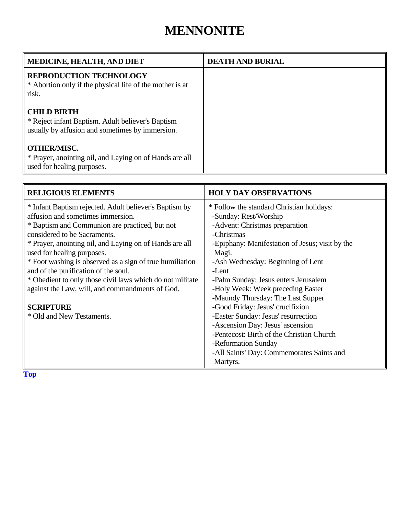#### **MENNONITE**

<span id="page-32-0"></span>

| MEDICINE, HEALTH, AND DIET                                                                                                 | <b>DEATH AND BURIAL</b> |
|----------------------------------------------------------------------------------------------------------------------------|-------------------------|
| <b>REPRODUCTION TECHNOLOGY</b><br>* Abortion only if the physical life of the mother is at<br>risk.                        |                         |
| <b>CHILD BIRTH</b><br>* Reject infant Baptism. Adult believer's Baptism<br>usually by affusion and sometimes by immersion. |                         |
| <b>OTHER/MISC.</b><br>* Prayer, anointing oil, and Laying on of Hands are all<br>used for healing purposes.                |                         |

| <b>RELIGIOUS ELEMENTS</b>                                 | <b>HOLY DAY OBSERVATIONS</b>                    |
|-----------------------------------------------------------|-------------------------------------------------|
| * Infant Baptism rejected. Adult believer's Baptism by    | * Follow the standard Christian holidays:       |
| affusion and sometimes immersion.                         | -Sunday: Rest/Worship                           |
| * Baptism and Communion are practiced, but not            | -Advent: Christmas preparation                  |
| considered to be Sacraments.                              | -Christmas                                      |
| * Prayer, anointing oil, and Laying on of Hands are all   | -Epiphany: Manifestation of Jesus; visit by the |
| used for healing purposes.                                | Magi.                                           |
| * Foot washing is observed as a sign of true humiliation  | -Ash Wednesday: Beginning of Lent               |
| and of the purification of the soul.                      | -Lent                                           |
| * Obedient to only those civil laws which do not militate | -Palm Sunday: Jesus enters Jerusalem            |
| against the Law, will, and commandments of God.           | -Holy Week: Week preceding Easter               |
|                                                           | -Maundy Thursday: The Last Supper               |
| <b>SCRIPTURE</b>                                          | -Good Friday: Jesus' crucifixion                |
| * Old and New Testaments.                                 | -Easter Sunday: Jesus' resurrection             |
|                                                           | -Ascension Day: Jesus' ascension                |
|                                                           | -Pentecost: Birth of the Christian Church       |
|                                                           | -Reformation Sunday                             |
|                                                           | -All Saints' Day: Commemorates Saints and       |
|                                                           | Martyrs.                                        |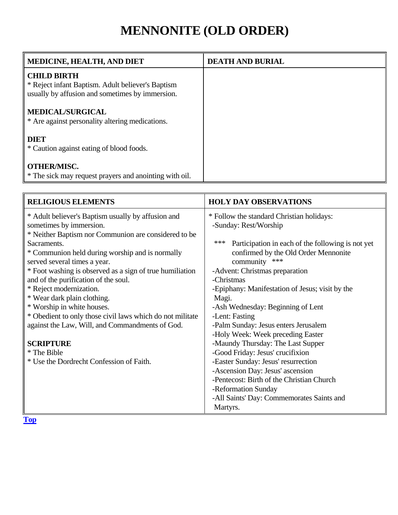# **MENNONITE (OLD ORDER)**

<span id="page-33-0"></span>

| <b>MEDICINE, HEALTH, AND DIET</b>                                                                                          | <b>DEATH AND BURIAL</b> |
|----------------------------------------------------------------------------------------------------------------------------|-------------------------|
| <b>CHILD BIRTH</b><br>* Reject infant Baptism. Adult believer's Baptism<br>usually by affusion and sometimes by immersion. |                         |
| <b>MEDICAL/SURGICAL</b><br>* Are against personality altering medications.                                                 |                         |
| <b>DIET</b><br>* Caution against eating of blood foods.                                                                    |                         |
| <b>OTHER/MISC.</b><br>* The sick may request prayers and anointing with oil.                                               |                         |

| <b>RELIGIOUS ELEMENTS</b>                                 | <b>HOLY DAY OBSERVATIONS</b>                             |
|-----------------------------------------------------------|----------------------------------------------------------|
| * Adult believer's Baptism usually by affusion and        | * Follow the standard Christian holidays:                |
| sometimes by immersion.                                   | -Sunday: Rest/Worship                                    |
| * Neither Baptism nor Communion are considered to be      |                                                          |
| Sacraments.                                               | ***<br>Participation in each of the following is not yet |
| * Communion held during worship and is normally           | confirmed by the Old Order Mennonite                     |
| served several times a year.                              | community<br>***                                         |
| * Foot washing is observed as a sign of true humiliation  | -Advent: Christmas preparation                           |
| and of the purification of the soul.                      | -Christmas                                               |
| * Reject modernization.                                   | -Epiphany: Manifestation of Jesus; visit by the          |
| * Wear dark plain clothing.                               | Magi.                                                    |
| * Worship in white houses.                                | -Ash Wednesday: Beginning of Lent                        |
| * Obedient to only those civil laws which do not militate | -Lent: Fasting                                           |
| against the Law, Will, and Commandments of God.           | -Palm Sunday: Jesus enters Jerusalem                     |
|                                                           | -Holy Week: Week preceding Easter                        |
| <b>SCRIPTURE</b>                                          | -Maundy Thursday: The Last Supper                        |
| * The Bible                                               | -Good Friday: Jesus' crucifixion                         |
| * Use the Dordrecht Confession of Faith.                  | -Easter Sunday: Jesus' resurrection                      |
|                                                           | -Ascension Day: Jesus' ascension                         |
|                                                           | -Pentecost: Birth of the Christian Church                |
|                                                           | -Reformation Sunday                                      |
|                                                           | -All Saints' Day: Commemorates Saints and                |
|                                                           | Martyrs.                                                 |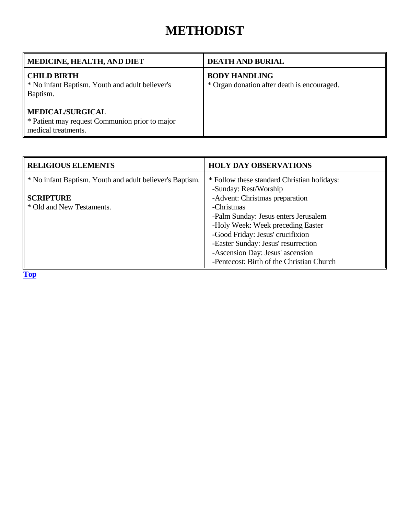#### **METHODIST**

<span id="page-34-0"></span>

| <b>MEDICINE, HEALTH, AND DIET</b>                                                                | <b>DEATH AND BURIAL</b>                                             |
|--------------------------------------------------------------------------------------------------|---------------------------------------------------------------------|
| <b>CHILD BIRTH</b><br>* No infant Baptism. Youth and adult believer's<br>Baptism.                | <b>BODY HANDLING</b><br>* Organ donation after death is encouraged. |
| <b>MEDICAL/SURGICAL</b><br>* Patient may request Communion prior to major<br>medical treatments. |                                                                     |

| <b>RELIGIOUS ELEMENTS</b>                                | <b>HOLY DAY OBSERVATIONS</b>                |
|----------------------------------------------------------|---------------------------------------------|
| * No infant Baptism. Youth and adult believer's Baptism. | * Follow these standard Christian holidays: |
|                                                          | -Sunday: Rest/Worship                       |
| <b>SCRIPTURE</b>                                         | -Advent: Christmas preparation              |
| * Old and New Testaments.                                | -Christmas                                  |
|                                                          | -Palm Sunday: Jesus enters Jerusalem        |
|                                                          | -Holy Week: Week preceding Easter           |
|                                                          | -Good Friday: Jesus' crucifixion            |
|                                                          | -Easter Sunday: Jesus' resurrection         |
|                                                          | -Ascension Day: Jesus' ascension            |
|                                                          | -Pentecost: Birth of the Christian Church   |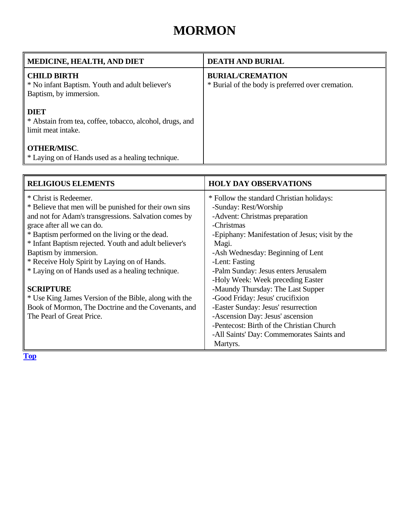### **MORMON**

<span id="page-35-0"></span>

| MEDICINE, HEALTH, AND DIET                                                                      | <b>DEATH AND BURIAL</b>                                                      |
|-------------------------------------------------------------------------------------------------|------------------------------------------------------------------------------|
| <b>CHILD BIRTH</b><br>* No infant Baptism. Youth and adult believer's<br>Baptism, by immersion. | <b>BURIAL/CREMATION</b><br>* Burial of the body is preferred over cremation. |
| <b>DIET</b><br>* Abstain from tea, coffee, tobacco, alcohol, drugs, and<br>limit meat intake.   |                                                                              |
| <b>OTHER/MISC.</b><br>* Laying on of Hands used as a healing technique.                         |                                                                              |

| <b>RELIGIOUS ELEMENTS</b>                              | <b>HOLY DAY OBSERVATIONS</b>                    |
|--------------------------------------------------------|-------------------------------------------------|
| * Christ is Redeemer.                                  | * Follow the standard Christian holidays:       |
| * Believe that men will be punished for their own sins | -Sunday: Rest/Worship                           |
| and not for Adam's transgressions. Salvation comes by  | -Advent: Christmas preparation                  |
| grace after all we can do.                             | -Christmas                                      |
| * Baptism performed on the living or the dead.         | -Epiphany: Manifestation of Jesus; visit by the |
| * Infant Baptism rejected. Youth and adult believer's  | Magi.                                           |
| Baptism by immersion.                                  | -Ash Wednesday: Beginning of Lent               |
| * Receive Holy Spirit by Laying on of Hands.           | -Lent: Fasting                                  |
| * Laying on of Hands used as a healing technique.      | -Palm Sunday: Jesus enters Jerusalem            |
|                                                        | -Holy Week: Week preceding Easter               |
| <b>SCRIPTURE</b>                                       | -Maundy Thursday: The Last Supper               |
| * Use King James Version of the Bible, along with the  | -Good Friday: Jesus' crucifixion                |
| Book of Mormon, The Doctrine and the Covenants, and    | -Easter Sunday: Jesus' resurrection             |
| The Pearl of Great Price.                              | -Ascension Day: Jesus' ascension                |
|                                                        | -Pentecost: Birth of the Christian Church       |
|                                                        | -All Saints' Day: Commemorates Saints and       |
|                                                        | Martyrs.                                        |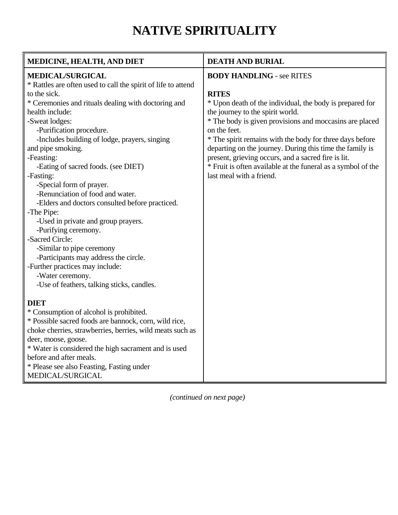## **NATIVE SPIRITUALITY**

<span id="page-36-0"></span>

| MEDICINE, HEALTH, AND DIET                                    | <b>DEATH AND BURIAL</b>                                      |
|---------------------------------------------------------------|--------------------------------------------------------------|
| <b>MEDICAL/SURGICAL</b>                                       | <b>BODY HANDLING - see RITES</b>                             |
| * Rattles are often used to call the spirit of life to attend |                                                              |
| to the sick.                                                  | <b>RITES</b>                                                 |
| * Ceremonies and rituals dealing with doctoring and           | * Upon death of the individual, the body is prepared for     |
| health include:                                               | the journey to the spirit world.                             |
| -Sweat lodges:                                                | * The body is given provisions and moccasins are placed      |
| -Purification procedure.                                      | on the feet.                                                 |
| -Includes building of lodge, prayers, singing                 | * The spirit remains with the body for three days before     |
| and pipe smoking.                                             | departing on the journey. During this time the family is     |
| -Feasting:                                                    | present, grieving occurs, and a sacred fire is lit.          |
| -Eating of sacred foods. (see DIET)                           | * Fruit is often available at the funeral as a symbol of the |
| -Fasting:                                                     | last meal with a friend.                                     |
| -Special form of prayer.                                      |                                                              |
| -Renunciation of food and water.                              |                                                              |
| -Elders and doctors consulted before practiced.               |                                                              |
| -The Pipe:                                                    |                                                              |
| -Used in private and group prayers.                           |                                                              |
| -Purifying ceremony.                                          |                                                              |
| -Sacred Circle:                                               |                                                              |
| -Similar to pipe ceremony                                     |                                                              |
| -Participants may address the circle.                         |                                                              |
| -Further practices may include:                               |                                                              |
| -Water ceremony.                                              |                                                              |
| -Use of feathers, talking sticks, candles.                    |                                                              |
| <b>DIET</b>                                                   |                                                              |
| * Consumption of alcohol is prohibited.                       |                                                              |
| * Possible sacred foods are bannock, corn, wild rice,         |                                                              |
| choke cherries, strawberries, berries, wild meats such as     |                                                              |
| deer, moose, goose.                                           |                                                              |
| * Water is considered the high sacrament and is used          |                                                              |
| before and after meals.                                       |                                                              |
| * Please see also Feasting, Fasting under                     |                                                              |
| MEDICAL/SURGICAL                                              |                                                              |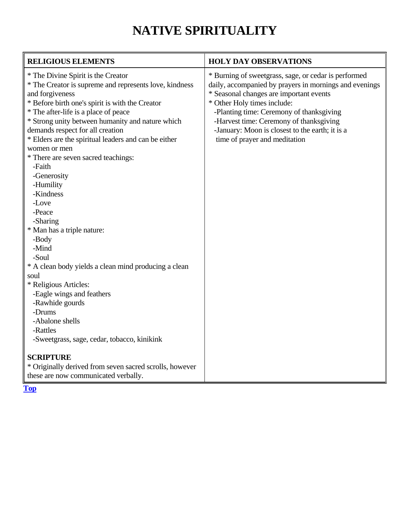# **NATIVE SPIRITUALITY**

| <b>RELIGIOUS ELEMENTS</b>                                                                                                                                                                                                                                                                                                                                                                                                                                                                                                                                                                                                                                                                                                                                                                     | <b>HOLY DAY OBSERVATIONS</b>                                                                                                                                                                                                                                                                                                                                        |
|-----------------------------------------------------------------------------------------------------------------------------------------------------------------------------------------------------------------------------------------------------------------------------------------------------------------------------------------------------------------------------------------------------------------------------------------------------------------------------------------------------------------------------------------------------------------------------------------------------------------------------------------------------------------------------------------------------------------------------------------------------------------------------------------------|---------------------------------------------------------------------------------------------------------------------------------------------------------------------------------------------------------------------------------------------------------------------------------------------------------------------------------------------------------------------|
| * The Divine Spirit is the Creator<br>* The Creator is supreme and represents love, kindness<br>and forgiveness<br>* Before birth one's spirit is with the Creator<br>* The after-life is a place of peace<br>* Strong unity between humanity and nature which<br>demands respect for all creation<br>* Elders are the spiritual leaders and can be either<br>women or men<br>* There are seven sacred teachings:<br>-Faith<br>-Generosity<br>-Humility<br>-Kindness<br>-Love<br>-Peace<br>-Sharing<br>* Man has a triple nature:<br>-Body<br>-Mind<br>-Soul<br>* A clean body yields a clean mind producing a clean<br>soul<br>* Religious Articles:<br>-Eagle wings and feathers<br>-Rawhide gourds<br>-Drums<br>-Abalone shells<br>-Rattles<br>-Sweetgrass, sage, cedar, tobacco, kinikink | * Burning of sweetgrass, sage, or cedar is performed<br>daily, accompanied by prayers in mornings and evenings<br>* Seasonal changes are important events<br>* Other Holy times include:<br>-Planting time: Ceremony of thanksgiving<br>-Harvest time: Ceremony of thanksgiving<br>-January: Moon is closest to the earth; it is a<br>time of prayer and meditation |
| <b>SCRIPTURE</b><br>* Originally derived from seven sacred scrolls, however<br>these are now communicated verbally.                                                                                                                                                                                                                                                                                                                                                                                                                                                                                                                                                                                                                                                                           |                                                                                                                                                                                                                                                                                                                                                                     |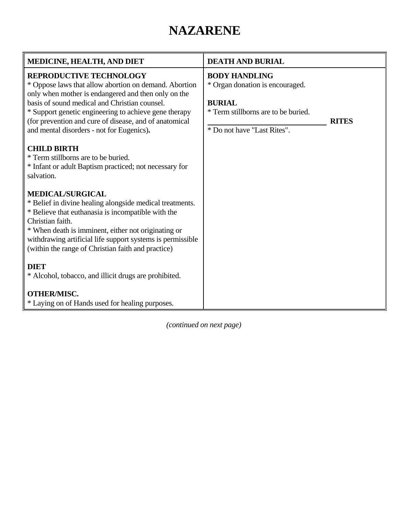### **NAZARENE**

<span id="page-38-0"></span>

| <b>MEDICINE, HEALTH, AND DIET</b>                                                                                                                                                                                                                                                                                                                        | <b>DEATH AND BURIAL</b>                                                                                                                                        |
|----------------------------------------------------------------------------------------------------------------------------------------------------------------------------------------------------------------------------------------------------------------------------------------------------------------------------------------------------------|----------------------------------------------------------------------------------------------------------------------------------------------------------------|
| REPRODUCTIVE TECHNOLOGY<br>* Oppose laws that allow abortion on demand. Abortion<br>only when mother is endangered and then only on the<br>basis of sound medical and Christian counsel.<br>* Support genetic engineering to achieve gene therapy<br>(for prevention and cure of disease, and of anatomical<br>and mental disorders - not for Eugenics). | <b>BODY HANDLING</b><br>* Organ donation is encouraged.<br><b>BURIAL</b><br>* Term stillborns are to be buried.<br><b>RITES</b><br>* Do not have "Last Rites". |
| <b>CHILD BIRTH</b><br>* Term stillborns are to be buried.<br>* Infant or adult Baptism practiced; not necessary for<br>salvation.                                                                                                                                                                                                                        |                                                                                                                                                                |
| <b>MEDICAL/SURGICAL</b><br>* Belief in divine healing alongside medical treatments.<br>* Believe that euthanasia is incompatible with the<br>Christian faith.<br>* When death is imminent, either not originating or<br>withdrawing artificial life support systems is permissible<br>(within the range of Christian faith and practice)                 |                                                                                                                                                                |
| <b>DIET</b><br>* Alcohol, tobacco, and illicit drugs are prohibited.                                                                                                                                                                                                                                                                                     |                                                                                                                                                                |
| <b>OTHER/MISC.</b><br>* Laying on of Hands used for healing purposes.                                                                                                                                                                                                                                                                                    |                                                                                                                                                                |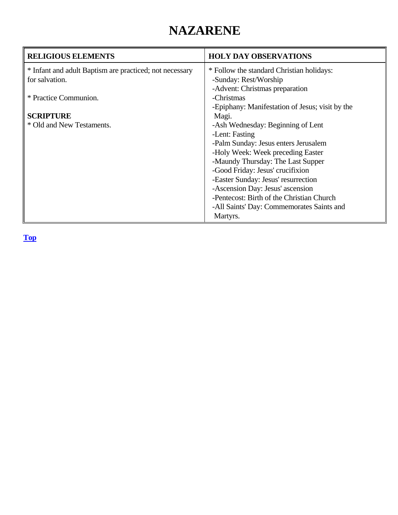### **NAZARENE**

| <b>RELIGIOUS ELEMENTS</b>                               | <b>HOLY DAY OBSERVATIONS</b>                    |
|---------------------------------------------------------|-------------------------------------------------|
| * Infant and adult Baptism are practiced; not necessary | * Follow the standard Christian holidays:       |
| for salvation.                                          | -Sunday: Rest/Worship                           |
|                                                         | -Advent: Christmas preparation                  |
| * Practice Communion.                                   | -Christmas                                      |
|                                                         | -Epiphany: Manifestation of Jesus; visit by the |
| <b>SCRIPTURE</b>                                        | Magi.                                           |
| * Old and New Testaments.                               | -Ash Wednesday: Beginning of Lent               |
|                                                         | -Lent: Fasting                                  |
|                                                         | -Palm Sunday: Jesus enters Jerusalem            |
|                                                         | -Holy Week: Week preceding Easter               |
|                                                         | -Maundy Thursday: The Last Supper               |
|                                                         | -Good Friday: Jesus' crucifixion                |
|                                                         | -Easter Sunday: Jesus' resurrection             |
|                                                         | -Ascension Day: Jesus' ascension                |
|                                                         | -Pentecost: Birth of the Christian Church       |
|                                                         | -All Saints' Day: Commemorates Saints and       |
|                                                         | Martyrs.                                        |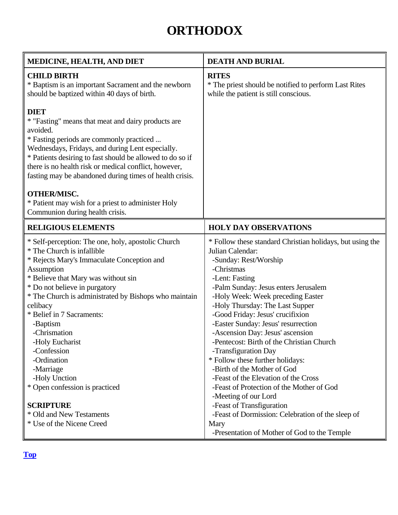## **ORTHODOX**

<span id="page-40-0"></span>

| MEDICINE, HEALTH, AND DIET                                                                                                                                                                                                                                                                                                                                                                                                                                          | <b>DEATH AND BURIAL</b>                                                                                                                                                                                                                                                                                                                                                                                                                                                                                                                                                                                                    |
|---------------------------------------------------------------------------------------------------------------------------------------------------------------------------------------------------------------------------------------------------------------------------------------------------------------------------------------------------------------------------------------------------------------------------------------------------------------------|----------------------------------------------------------------------------------------------------------------------------------------------------------------------------------------------------------------------------------------------------------------------------------------------------------------------------------------------------------------------------------------------------------------------------------------------------------------------------------------------------------------------------------------------------------------------------------------------------------------------------|
| <b>CHILD BIRTH</b><br>* Baptism is an important Sacrament and the newborn<br>should be baptized within 40 days of birth.                                                                                                                                                                                                                                                                                                                                            | <b>RITES</b><br>* The priest should be notified to perform Last Rites<br>while the patient is still conscious.                                                                                                                                                                                                                                                                                                                                                                                                                                                                                                             |
| <b>DIET</b><br>* "Fasting" means that meat and dairy products are<br>avoided.<br>* Fasting periods are commonly practiced<br>Wednesdays, Fridays, and during Lent especially.<br>* Patients desiring to fast should be allowed to do so if<br>there is no health risk or medical conflict, however,<br>fasting may be abandoned during times of health crisis.                                                                                                      |                                                                                                                                                                                                                                                                                                                                                                                                                                                                                                                                                                                                                            |
| <b>OTHER/MISC.</b><br>* Patient may wish for a priest to administer Holy<br>Communion during health crisis.                                                                                                                                                                                                                                                                                                                                                         |                                                                                                                                                                                                                                                                                                                                                                                                                                                                                                                                                                                                                            |
| <b>RELIGIOUS ELEMENTS</b>                                                                                                                                                                                                                                                                                                                                                                                                                                           | <b>HOLY DAY OBSERVATIONS</b>                                                                                                                                                                                                                                                                                                                                                                                                                                                                                                                                                                                               |
| * Self-perception: The one, holy, apostolic Church<br>* The Church is infallible<br>* Rejects Mary's Immaculate Conception and<br>Assumption<br>* Believe that Mary was without sin<br>* Do not believe in purgatory<br>* The Church is administrated by Bishops who maintain<br>celibacy<br>* Belief in 7 Sacraments:<br>-Baptism<br>-Chrismation<br>-Holy Eucharist<br>-Confession<br>-Ordination<br>-Marriage<br>-Holy Unction<br>* Open confession is practiced | * Follow these standard Christian holidays, but using the<br>Julian Calendar:<br>-Sunday: Rest/Worship<br>-Christmas<br>-Lent: Fasting<br>-Palm Sunday: Jesus enters Jerusalem<br>-Holy Week: Week preceding Easter<br>-Holy Thursday: The Last Supper<br>-Good Friday: Jesus' crucifixion<br>-Easter Sunday: Jesus' resurrection<br>-Ascension Day: Jesus' ascension<br>-Pentecost: Birth of the Christian Church<br>-Transfiguration Day<br>* Follow these further holidays:<br>-Birth of the Mother of God<br>-Feast of the Elevation of the Cross<br>-Feast of Protection of the Mother of God<br>-Meeting of our Lord |
| <b>SCRIPTURE</b><br>* Old and New Testaments<br>* Use of the Nicene Creed                                                                                                                                                                                                                                                                                                                                                                                           | -Feast of Transfiguration<br>-Feast of Dormission: Celebration of the sleep of<br>Mary<br>-Presentation of Mother of God to the Temple                                                                                                                                                                                                                                                                                                                                                                                                                                                                                     |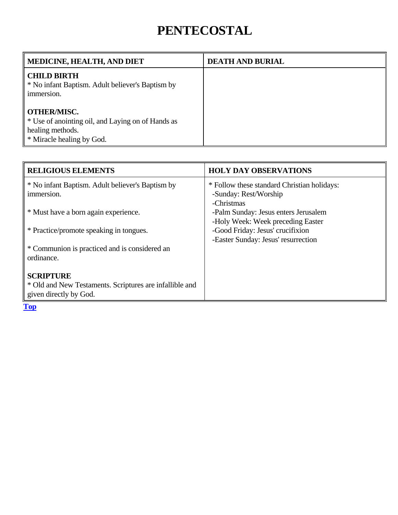### **PENTECOSTAL**

<span id="page-41-0"></span>

| <b>MEDICINE, HEALTH, AND DIET</b>                                                                                        | <b>DEATH AND BURIAL</b> |
|--------------------------------------------------------------------------------------------------------------------------|-------------------------|
| <b>CHILD BIRTH</b><br>* No infant Baptism. Adult believer's Baptism by<br>immersion.                                     |                         |
| <b>OTHER/MISC.</b><br>* Use of anointing oil, and Laying on of Hands as<br>healing methods.<br>* Miracle healing by God. |                         |

| <b>HOLY DAY OBSERVATIONS</b>                |
|---------------------------------------------|
| * Follow these standard Christian holidays: |
| -Sunday: Rest/Worship                       |
| -Christmas                                  |
| -Palm Sunday: Jesus enters Jerusalem        |
| -Holy Week: Week preceding Easter           |
| -Good Friday: Jesus' crucifixion            |
| -Easter Sunday: Jesus' resurrection         |
|                                             |
|                                             |
|                                             |
|                                             |
|                                             |
|                                             |
|                                             |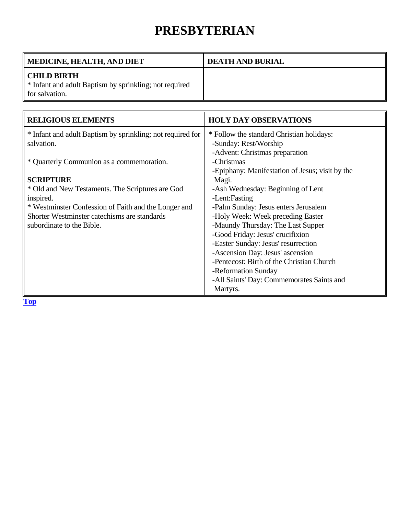### **PRESBYTERIAN**

<span id="page-42-0"></span>

| MEDICINE, HEALTH, AND DIET                                                                     | <b>DEATH AND BURIAL</b> |
|------------------------------------------------------------------------------------------------|-------------------------|
| <b>CHILD BIRTH</b><br>* Infant and adult Baptism by sprinkling; not required<br>for salvation. |                         |

| <b>RELIGIOUS ELEMENTS</b>                                  | <b>HOLY DAY OBSERVATIONS</b>                    |
|------------------------------------------------------------|-------------------------------------------------|
| * Infant and adult Baptism by sprinkling; not required for | * Follow the standard Christian holidays:       |
| salvation.                                                 | -Sunday: Rest/Worship                           |
|                                                            | -Advent: Christmas preparation                  |
| * Quarterly Communion as a commemoration.                  | -Christmas                                      |
|                                                            | -Epiphany: Manifestation of Jesus; visit by the |
| <b>SCRIPTURE</b>                                           | Magi.                                           |
| * Old and New Testaments. The Scriptures are God           | -Ash Wednesday: Beginning of Lent               |
| inspired.                                                  | -Lent:Fasting                                   |
| * Westminster Confession of Faith and the Longer and       | -Palm Sunday: Jesus enters Jerusalem            |
| Shorter Westminster catechisms are standards               | -Holy Week: Week preceding Easter               |
| subordinate to the Bible.                                  | -Maundy Thursday: The Last Supper               |
|                                                            | -Good Friday: Jesus' crucifixion                |
|                                                            | -Easter Sunday: Jesus' resurrection             |
|                                                            | -Ascension Day: Jesus' ascension                |
|                                                            | -Pentecost: Birth of the Christian Church       |
|                                                            | -Reformation Sunday                             |
|                                                            | -All Saints' Day: Commemorates Saints and       |
|                                                            | Martyrs.                                        |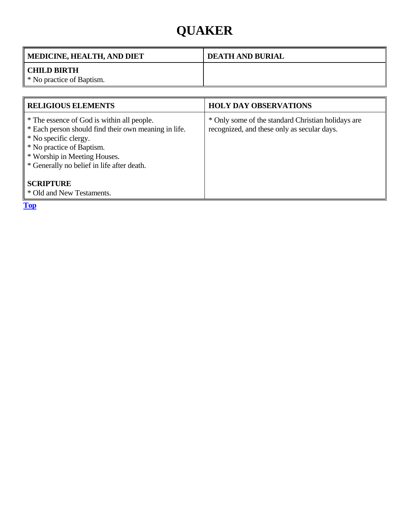# **QUAKER**

<span id="page-43-0"></span>

| <b>MEDICINE, HEALTH, AND DIET</b>               | <b>DEATH AND BURIAL</b> |
|-------------------------------------------------|-------------------------|
| <b>CHILD BIRTH</b><br>* No practice of Baptism. |                         |

| <b>RELIGIOUS ELEMENTS</b>                                                                                                                                                                                                              | <b>HOLY DAY OBSERVATIONS</b>                                                                      |
|----------------------------------------------------------------------------------------------------------------------------------------------------------------------------------------------------------------------------------------|---------------------------------------------------------------------------------------------------|
| * The essence of God is within all people.<br>* Each person should find their own meaning in life.<br>* No specific clergy.<br>* No practice of Baptism.<br>* Worship in Meeting Houses.<br>* Generally no belief in life after death. | * Only some of the standard Christian holidays are<br>recognized, and these only as secular days. |
| <b>SCRIPTURE</b><br>* Old and New Testaments.                                                                                                                                                                                          |                                                                                                   |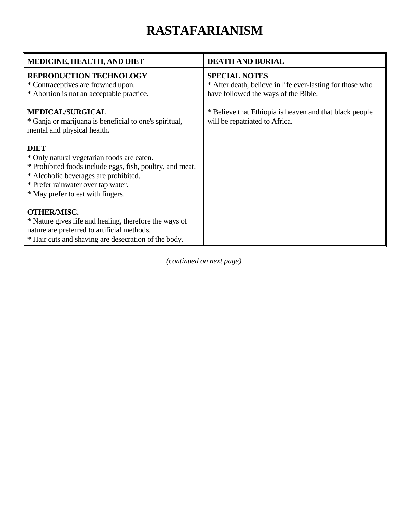# **RASTAFARIANISM**

<span id="page-44-0"></span>

| MEDICINE, HEALTH, AND DIET                                                                                                                                                                                                                 | <b>DEATH AND BURIAL</b>                                                                                                   |
|--------------------------------------------------------------------------------------------------------------------------------------------------------------------------------------------------------------------------------------------|---------------------------------------------------------------------------------------------------------------------------|
| <b>REPRODUCTION TECHNOLOGY</b><br>* Contraceptives are frowned upon.<br>* Abortion is not an acceptable practice.                                                                                                                          | <b>SPECIAL NOTES</b><br>* After death, believe in life ever-lasting for those who<br>have followed the ways of the Bible. |
| <b>MEDICAL/SURGICAL</b><br>* Ganja or marijuana is beneficial to one's spiritual,<br>mental and physical health.                                                                                                                           | * Believe that Ethiopia is heaven and that black people<br>will be repatriated to Africa.                                 |
| <b>DIET</b><br>* Only natural vegetarian foods are eaten.<br>* Prohibited foods include eggs, fish, poultry, and meat.<br>* Alcoholic beverages are prohibited.<br>* Prefer rainwater over tap water.<br>* May prefer to eat with fingers. |                                                                                                                           |
| <b>OTHER/MISC.</b><br>* Nature gives life and healing, therefore the ways of<br>nature are preferred to artificial methods.<br>* Hair cuts and shaving are desecration of the body.                                                        |                                                                                                                           |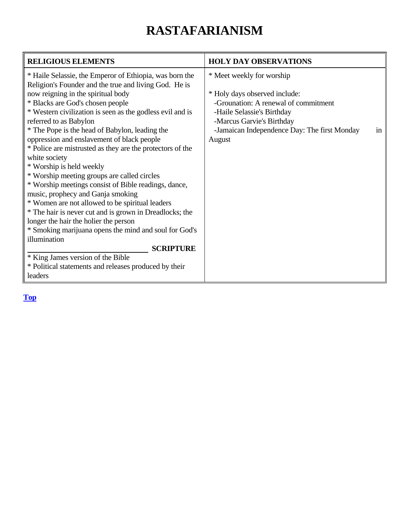# **RASTAFARIANISM**

| <b>RELIGIOUS ELEMENTS</b>                                 | <b>HOLY DAY OBSERVATIONS</b>                       |
|-----------------------------------------------------------|----------------------------------------------------|
| * Haile Selassie, the Emperor of Ethiopia, was born the   | * Meet weekly for worship                          |
| Religion's Founder and the true and living God. He is     |                                                    |
| now reigning in the spiritual body                        | * Holy days observed include:                      |
| * Blacks are God's chosen people                          | -Grounation: A renewal of commitment               |
| * Western civilization is seen as the godless evil and is | -Haile Selassie's Birthday                         |
| referred to as Babylon                                    | -Marcus Garvie's Birthday                          |
| * The Pope is the head of Babylon, leading the            | -Jamaican Independence Day: The first Monday<br>in |
| oppression and enslavement of black people                | August                                             |
| * Police are mistrusted as they are the protectors of the |                                                    |
| white society                                             |                                                    |
| * Worship is held weekly                                  |                                                    |
| * Worship meeting groups are called circles               |                                                    |
| * Worship meetings consist of Bible readings, dance,      |                                                    |
| music, prophecy and Ganja smoking                         |                                                    |
| * Women are not allowed to be spiritual leaders           |                                                    |
| * The hair is never cut and is grown in Dreadlocks; the   |                                                    |
| longer the hair the holier the person                     |                                                    |
| * Smoking marijuana opens the mind and soul for God's     |                                                    |
| illumination                                              |                                                    |
| <b>SCRIPTURE</b>                                          |                                                    |
| * King James version of the Bible                         |                                                    |
| * Political statements and releases produced by their     |                                                    |
| leaders                                                   |                                                    |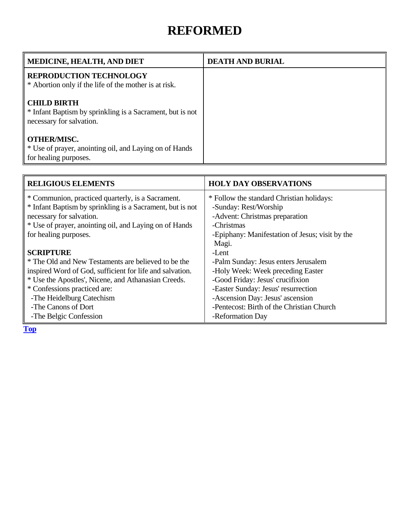#### **REFORMED**

<span id="page-46-0"></span>

| MEDICINE, HEALTH, AND DIET                                                                                  | <b>DEATH AND BURIAL</b> |
|-------------------------------------------------------------------------------------------------------------|-------------------------|
| <b>REPRODUCTION TECHNOLOGY</b><br>* Abortion only if the life of the mother is at risk.                     |                         |
| <b>CHILD BIRTH</b><br>* Infant Baptism by sprinkling is a Sacrament, but is not<br>necessary for salvation. |                         |
| <b>OTHER/MISC.</b><br>* Use of prayer, anointing oil, and Laying on of Hands<br>for healing purposes.       |                         |

| <b>RELIGIOUS ELEMENTS</b>                                 | <b>HOLY DAY OBSERVATIONS</b>                    |
|-----------------------------------------------------------|-------------------------------------------------|
| * Communion, practiced quarterly, is a Sacrament.         | * Follow the standard Christian holidays:       |
| * Infant Baptism by sprinkling is a Sacrament, but is not | -Sunday: Rest/Worship                           |
| necessary for salvation.                                  | -Advent: Christmas preparation                  |
| * Use of prayer, anointing oil, and Laying on of Hands    | -Christmas                                      |
| for healing purposes.                                     | -Epiphany: Manifestation of Jesus; visit by the |
|                                                           | Magi.                                           |
| <b>SCRIPTURE</b>                                          | -Lent                                           |
| * The Old and New Testaments are believed to be the       | -Palm Sunday: Jesus enters Jerusalem            |
| inspired Word of God, sufficient for life and salvation.  | -Holy Week: Week preceding Easter               |
| * Use the Apostles', Nicene, and Athanasian Creeds.       | -Good Friday: Jesus' crucifixion                |
| * Confessions practiced are:                              | -Easter Sunday: Jesus' resurrection             |
| -The Heidelburg Catechism                                 | -Ascension Day: Jesus' ascension                |
| -The Canons of Dort                                       | -Pentecost: Birth of the Christian Church       |
| -The Belgic Confession                                    | -Reformation Day                                |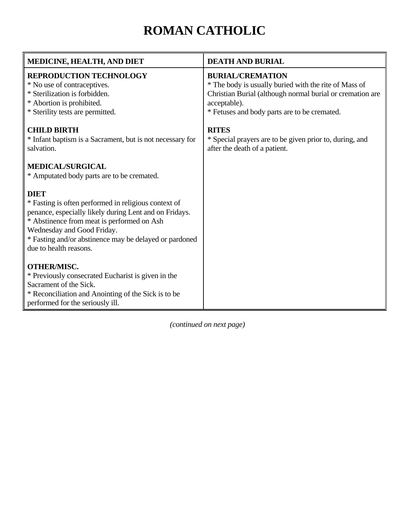# **ROMAN CATHOLIC**

<span id="page-47-0"></span>

| MEDICINE, HEALTH, AND DIET                                                                                                                                                                                                                                                                    | <b>DEATH AND BURIAL</b>                                                                                                                                                                                       |
|-----------------------------------------------------------------------------------------------------------------------------------------------------------------------------------------------------------------------------------------------------------------------------------------------|---------------------------------------------------------------------------------------------------------------------------------------------------------------------------------------------------------------|
| REPRODUCTION TECHNOLOGY<br>* No use of contraceptives.<br>* Sterilization is forbidden.<br>* Abortion is prohibited.<br>* Sterility tests are permitted.                                                                                                                                      | <b>BURIAL/CREMATION</b><br>* The body is usually buried with the rite of Mass of<br>Christian Burial (although normal burial or cremation are<br>acceptable).<br>* Fetuses and body parts are to be cremated. |
| <b>CHILD BIRTH</b><br>* Infant baptism is a Sacrament, but is not necessary for<br>salvation.                                                                                                                                                                                                 | <b>RITES</b><br>* Special prayers are to be given prior to, during, and<br>after the death of a patient.                                                                                                      |
| <b>MEDICAL/SURGICAL</b><br>* Amputated body parts are to be cremated.                                                                                                                                                                                                                         |                                                                                                                                                                                                               |
| <b>DIET</b><br>* Fasting is often performed in religious context of<br>penance, especially likely during Lent and on Fridays.<br>* Abstinence from meat is performed on Ash<br>Wednesday and Good Friday.<br>* Fasting and/or abstinence may be delayed or pardoned<br>due to health reasons. |                                                                                                                                                                                                               |
| <b>OTHER/MISC.</b><br>* Previously consecrated Eucharist is given in the<br>Sacrament of the Sick.<br>* Reconciliation and Anointing of the Sick is to be<br>performed for the seriously ill.                                                                                                 |                                                                                                                                                                                                               |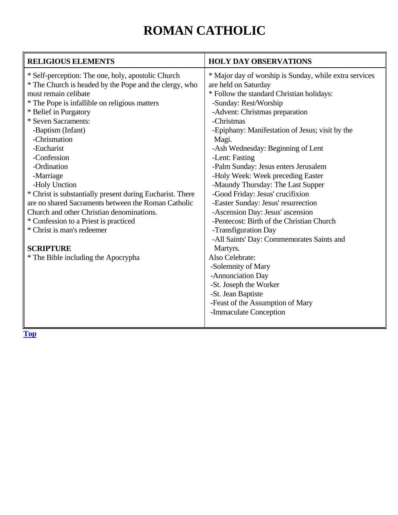# **ROMAN CATHOLIC**

| <b>RELIGIOUS ELEMENTS</b>                                                                                                                                                                                                                                                                                                                                                                                                                                                                                                                                                                                                                               | <b>HOLY DAY OBSERVATIONS</b>                                                                                                                                                                                                                                                                                                                                                                                                                                                                                                                                                                                                                                                                                                                                                                                                                                       |
|---------------------------------------------------------------------------------------------------------------------------------------------------------------------------------------------------------------------------------------------------------------------------------------------------------------------------------------------------------------------------------------------------------------------------------------------------------------------------------------------------------------------------------------------------------------------------------------------------------------------------------------------------------|--------------------------------------------------------------------------------------------------------------------------------------------------------------------------------------------------------------------------------------------------------------------------------------------------------------------------------------------------------------------------------------------------------------------------------------------------------------------------------------------------------------------------------------------------------------------------------------------------------------------------------------------------------------------------------------------------------------------------------------------------------------------------------------------------------------------------------------------------------------------|
| * Self-perception: The one, holy, apostolic Church<br>* The Church is headed by the Pope and the clergy, who<br>must remain celibate<br>* The Pope is infallible on religious matters<br>* Belief in Purgatory<br>* Seven Sacraments:<br>-Baptism (Infant)<br>-Chrismation<br>-Eucharist<br>-Confession<br>-Ordination<br>-Marriage<br>-Holy Unction<br>* Christ is substantially present during Eucharist. There<br>are no shared Sacraments between the Roman Catholic<br>Church and other Christian denominations.<br>* Confession to a Priest is practiced<br>* Christ is man's redeemer<br><b>SCRIPTURE</b><br>* The Bible including the Apocrypha | * Major day of worship is Sunday, while extra services<br>are held on Saturday<br>* Follow the standard Christian holidays:<br>-Sunday: Rest/Worship<br>-Advent: Christmas preparation<br>-Christmas<br>-Epiphany: Manifestation of Jesus; visit by the<br>Magi.<br>-Ash Wednesday: Beginning of Lent<br>-Lent: Fasting<br>-Palm Sunday: Jesus enters Jerusalem<br>-Holy Week: Week preceding Easter<br>-Maundy Thursday: The Last Supper<br>-Good Friday: Jesus' crucifixion<br>-Easter Sunday: Jesus' resurrection<br>-Ascension Day: Jesus' ascension<br>-Pentecost: Birth of the Christian Church<br>-Transfiguration Day<br>-All Saints' Day: Commemorates Saints and<br>Martyrs.<br>Also Celebrate:<br>-Solemnity of Mary<br>-Annunciation Day<br>-St. Joseph the Worker<br>-St. Jean Baptiste<br>-Feast of the Assumption of Mary<br>-Immaculate Conception |
|                                                                                                                                                                                                                                                                                                                                                                                                                                                                                                                                                                                                                                                         |                                                                                                                                                                                                                                                                                                                                                                                                                                                                                                                                                                                                                                                                                                                                                                                                                                                                    |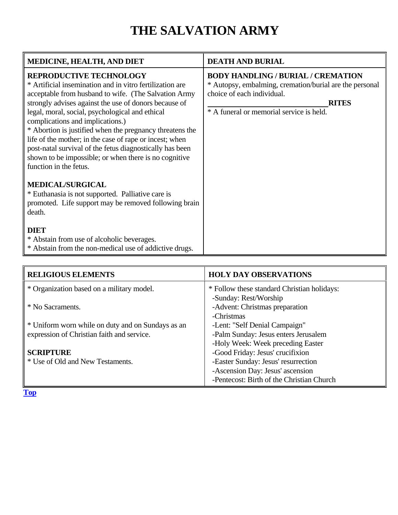# **THE SALVATION ARMY**

<span id="page-49-0"></span>

| MEDICINE, HEALTH, AND DIET                                                                                                                                                                                                                                                                                                                                                                                                                                                                                                                                               | <b>DEATH AND BURIAL</b>                                                                                                                                                                        |
|--------------------------------------------------------------------------------------------------------------------------------------------------------------------------------------------------------------------------------------------------------------------------------------------------------------------------------------------------------------------------------------------------------------------------------------------------------------------------------------------------------------------------------------------------------------------------|------------------------------------------------------------------------------------------------------------------------------------------------------------------------------------------------|
| <b>REPRODUCTIVE TECHNOLOGY</b><br>* Artificial insemination and in vitro fertilization are<br>acceptable from husband to wife. (The Salvation Army<br>strongly advises against the use of donors because of<br>legal, moral, social, psychological and ethical<br>complications and implications.)<br>* Abortion is justified when the pregnancy threatens the<br>life of the mother; in the case of rape or incest; when<br>post-natal survival of the fetus diagnostically has been<br>shown to be impossible; or when there is no cognitive<br>function in the fetus. | <b>BODY HANDLING / BURIAL / CREMATION</b><br>* Autopsy, embalming, cremation/burial are the personal<br>choice of each individual.<br><b>RITES</b><br>* A funeral or memorial service is held. |
| <b>MEDICAL/SURGICAL</b><br>* Euthanasia is not supported. Palliative care is<br>promoted. Life support may be removed following brain<br>death.<br><b>DIET</b><br>* Abstain from use of alcoholic beverages.<br>* Abstain from the non-medical use of addictive drugs.                                                                                                                                                                                                                                                                                                   |                                                                                                                                                                                                |

| <b>RELIGIOUS ELEMENTS</b>                         | <b>HOLY DAY OBSERVATIONS</b>                |
|---------------------------------------------------|---------------------------------------------|
| * Organization based on a military model.         | * Follow these standard Christian holidays: |
|                                                   | -Sunday: Rest/Worship                       |
| * No Sacraments.                                  | -Advent: Christmas preparation              |
|                                                   | -Christmas                                  |
| * Uniform worn while on duty and on Sundays as an | -Lent: "Self Denial Campaign"               |
| expression of Christian faith and service.        | -Palm Sunday: Jesus enters Jerusalem        |
|                                                   | -Holy Week: Week preceding Easter           |
| <b>SCRIPTURE</b>                                  | -Good Friday: Jesus' crucifixion            |
| * Use of Old and New Testaments.                  | -Easter Sunday: Jesus' resurrection         |
|                                                   | -Ascension Day: Jesus' ascension            |
|                                                   | -Pentecost: Birth of the Christian Church   |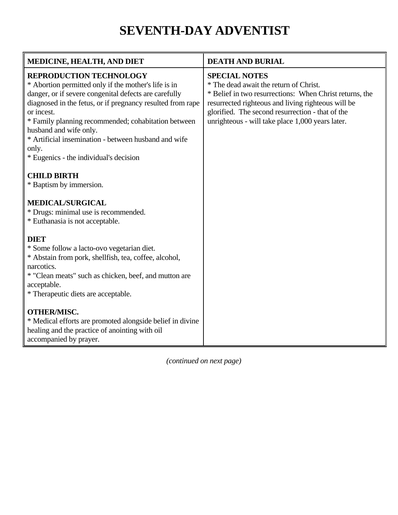### **SEVENTH-DAY ADVENTIST**

<span id="page-50-0"></span>

| <b>MEDICINE, HEALTH, AND DIET</b>                                                                                                                                                                                                                                                                                                                                                                                       | <b>DEATH AND BURIAL</b>                                                                                                                                                                                                                                                                 |
|-------------------------------------------------------------------------------------------------------------------------------------------------------------------------------------------------------------------------------------------------------------------------------------------------------------------------------------------------------------------------------------------------------------------------|-----------------------------------------------------------------------------------------------------------------------------------------------------------------------------------------------------------------------------------------------------------------------------------------|
| <b>REPRODUCTION TECHNOLOGY</b><br>* Abortion permitted only if the mother's life is in<br>danger, or if severe congenital defects are carefully<br>diagnosed in the fetus, or if pregnancy resulted from rape<br>or incest.<br>* Family planning recommended; cohabitation between<br>husband and wife only.<br>* Artificial insemination - between husband and wife<br>only.<br>* Eugenics - the individual's decision | <b>SPECIAL NOTES</b><br>* The dead await the return of Christ.<br>* Belief in two resurrections: When Christ returns, the<br>resurrected righteous and living righteous will be<br>glorified. The second resurrection - that of the<br>unrighteous - will take place 1,000 years later. |
| <b>CHILD BIRTH</b><br>* Baptism by immersion.<br><b>MEDICAL/SURGICAL</b><br>* Drugs: minimal use is recommended.<br>* Euthanasia is not acceptable.                                                                                                                                                                                                                                                                     |                                                                                                                                                                                                                                                                                         |
| <b>DIET</b><br>* Some follow a lacto-ovo vegetarian diet.<br>* Abstain from pork, shellfish, tea, coffee, alcohol,<br>narcotics.<br>* "Clean meats" such as chicken, beef, and mutton are<br>acceptable.<br>* Therapeutic diets are acceptable.                                                                                                                                                                         |                                                                                                                                                                                                                                                                                         |
| <b>OTHER/MISC.</b><br>* Medical efforts are promoted alongside belief in divine<br>healing and the practice of anointing with oil<br>accompanied by prayer.                                                                                                                                                                                                                                                             |                                                                                                                                                                                                                                                                                         |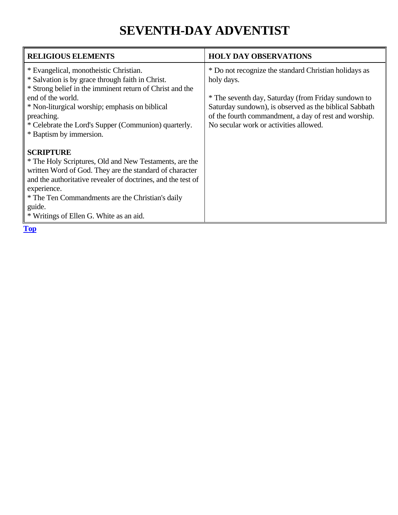### **SEVENTH-DAY ADVENTIST**

| <b>RELIGIOUS ELEMENTS</b>                                                                                                                                                                                                                                                                                                                                | <b>HOLY DAY OBSERVATIONS</b>                                                                                                                                                                                                                                                            |
|----------------------------------------------------------------------------------------------------------------------------------------------------------------------------------------------------------------------------------------------------------------------------------------------------------------------------------------------------------|-----------------------------------------------------------------------------------------------------------------------------------------------------------------------------------------------------------------------------------------------------------------------------------------|
| * Evangelical, monotheistic Christian.<br>* Salvation is by grace through faith in Christ.<br>* Strong belief in the imminent return of Christ and the<br>end of the world.<br>* Non-liturgical worship; emphasis on biblical<br>preaching.<br>* Celebrate the Lord's Supper (Communion) quarterly.                                                      | * Do not recognize the standard Christian holidays as<br>holy days.<br>* The seventh day, Saturday (from Friday sundown to<br>Saturday sundown), is observed as the biblical Sabbath<br>of the fourth commandment, a day of rest and worship.<br>No secular work or activities allowed. |
| * Baptism by immersion.<br><b>SCRIPTURE</b><br>* The Holy Scriptures, Old and New Testaments, are the<br>written Word of God. They are the standard of character<br>and the authoritative revealer of doctrines, and the test of<br>experience.<br>* The Ten Commandments are the Christian's daily<br>guide.<br>* Writings of Ellen G. White as an aid. |                                                                                                                                                                                                                                                                                         |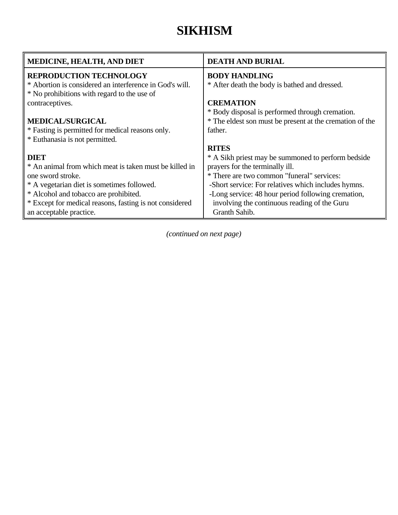### **SIKHISM**

<span id="page-52-0"></span>

| MEDICINE, HEALTH, AND DIET                              | <b>DEATH AND BURIAL</b>                                  |
|---------------------------------------------------------|----------------------------------------------------------|
| <b>REPRODUCTION TECHNOLOGY</b>                          | <b>BODY HANDLING</b>                                     |
| * Abortion is considered an interference in God's will. | * After death the body is bathed and dressed.            |
| * No prohibitions with regard to the use of             |                                                          |
| contraceptives.                                         | <b>CREMATION</b>                                         |
|                                                         | * Body disposal is performed through cremation.          |
| <b>MEDICAL/SURGICAL</b>                                 | * The eldest son must be present at the cremation of the |
| * Fasting is permitted for medical reasons only.        | father.                                                  |
| * Euthanasia is not permitted.                          |                                                          |
|                                                         | <b>RITES</b>                                             |
| <b>DIET</b>                                             | * A Sikh priest may be summoned to perform bedside       |
| * An animal from which meat is taken must be killed in  | prayers for the terminally ill.                          |
| one sword stroke.                                       | * There are two common "funeral" services:               |
| * A vegetarian diet is sometimes followed.              | -Short service: For relatives which includes hymns.      |
| * Alcohol and tobacco are prohibited.                   | -Long service: 48 hour period following cremation,       |
| * Except for medical reasons, fasting is not considered | involving the continuous reading of the Guru             |
| an acceptable practice.                                 | Granth Sahib.                                            |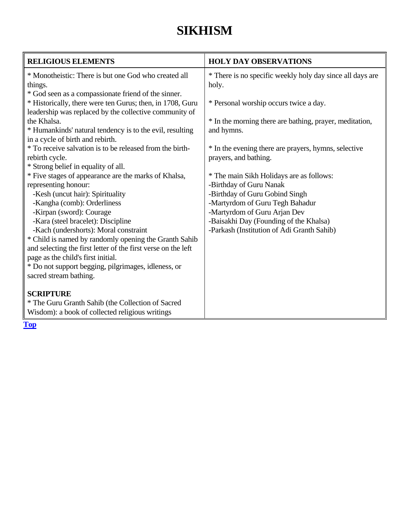### **SIKHISM**

| <b>RELIGIOUS ELEMENTS</b>                                                                                                                                                  | <b>HOLY DAY OBSERVATIONS</b>                                                                      |
|----------------------------------------------------------------------------------------------------------------------------------------------------------------------------|---------------------------------------------------------------------------------------------------|
| * Monotheistic: There is but one God who created all<br>things.                                                                                                            | * There is no specific weekly holy day since all days are<br>holy.                                |
| * God seen as a compassionate friend of the sinner.<br>* Historically, there were ten Gurus; then, in 1708, Guru<br>leadership was replaced by the collective community of | * Personal worship occurs twice a day.                                                            |
| the Khalsa.<br>* Humankinds' natural tendency is to the evil, resulting<br>in a cycle of birth and rebirth.                                                                | * In the morning there are bathing, prayer, meditation,<br>and hymns.                             |
| * To receive salvation is to be released from the birth-<br>rebirth cycle.                                                                                                 | * In the evening there are prayers, hymns, selective<br>prayers, and bathing.                     |
| * Strong belief in equality of all.<br>* Five stages of appearance are the marks of Khalsa,<br>representing honour:                                                        | * The main Sikh Holidays are as follows:<br>-Birthday of Guru Nanak                               |
| -Kesh (uncut hair): Spirituality<br>-Kangha (comb): Orderliness<br>-Kirpan (sword): Courage                                                                                | -Birthday of Guru Gobind Singh<br>-Martyrdom of Guru Tegh Bahadur<br>-Martyrdom of Guru Arjan Dev |
| -Kara (steel bracelet): Discipline<br>-Kach (undershorts): Moral constraint                                                                                                | -Baisakhi Day (Founding of the Khalsa)<br>-Parkash (Institution of Adi Granth Sahib)              |
| * Child is named by randomly opening the Granth Sahib<br>and selecting the first letter of the first verse on the left<br>page as the child's first initial.               |                                                                                                   |
| * Do not support begging, pilgrimages, idleness, or<br>sacred stream bathing.                                                                                              |                                                                                                   |
| <b>SCRIPTURE</b><br>* The Guru Granth Sahib (the Collection of Sacred                                                                                                      |                                                                                                   |
| Wisdom): a book of collected religious writings                                                                                                                            |                                                                                                   |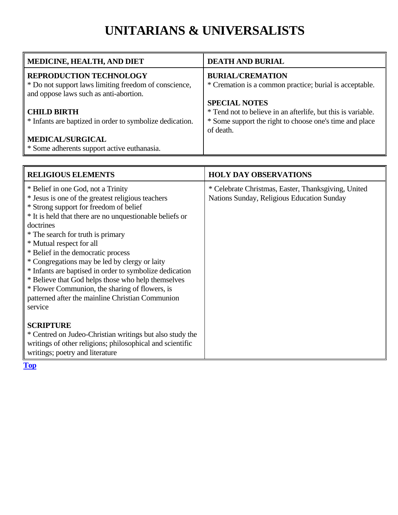### **UNITARIANS & UNIVERSALISTS**

<span id="page-54-0"></span>

| MEDICINE, HEALTH, AND DIET                                                                                                        | <b>DEATH AND BURIAL</b>                                                            |
|-----------------------------------------------------------------------------------------------------------------------------------|------------------------------------------------------------------------------------|
| <b>REPRODUCTION TECHNOLOGY</b><br>* Do not support laws limiting freedom of conscience,<br>and oppose laws such as anti-abortion. | <b>BURIAL/CREMATION</b><br>* Cremation is a common practice; burial is acceptable. |
|                                                                                                                                   | <b>SPECIAL NOTES</b>                                                               |
| <b>CHILD BIRTH</b>                                                                                                                | * Tend not to believe in an afterlife, but this is variable.                       |
| * Infants are baptized in order to symbolize dedication.                                                                          | * Some support the right to choose one's time and place<br>of death.               |
| <b>MEDICAL/SURGICAL</b>                                                                                                           |                                                                                    |
| * Some adherents support active euthanasia.                                                                                       |                                                                                    |

| <b>RELIGIOUS ELEMENTS</b>                                                                                                                                                                                                                                                                                                                                                                                                                                                                                                                                                                            | <b>HOLY DAY OBSERVATIONS</b>                                                                      |
|------------------------------------------------------------------------------------------------------------------------------------------------------------------------------------------------------------------------------------------------------------------------------------------------------------------------------------------------------------------------------------------------------------------------------------------------------------------------------------------------------------------------------------------------------------------------------------------------------|---------------------------------------------------------------------------------------------------|
| * Belief in one God, not a Trinity<br>* Jesus is one of the greatest religious teachers<br>* Strong support for freedom of belief<br>* It is held that there are no unquestionable beliefs or<br>doctrines<br>* The search for truth is primary<br>* Mutual respect for all<br>* Belief in the democratic process<br>* Congregations may be led by clergy or laity<br>* Infants are baptised in order to symbolize dedication<br>* Believe that God helps those who help themselves<br>* Flower Communion, the sharing of flowers, is<br>patterned after the mainline Christian Communion<br>service | * Celebrate Christmas, Easter, Thanksgiving, United<br>Nations Sunday, Religious Education Sunday |
| <b>SCRIPTURE</b><br>* Centred on Judeo-Christian writings but also study the<br>writings of other religions; philosophical and scientific<br>writings; poetry and literature                                                                                                                                                                                                                                                                                                                                                                                                                         |                                                                                                   |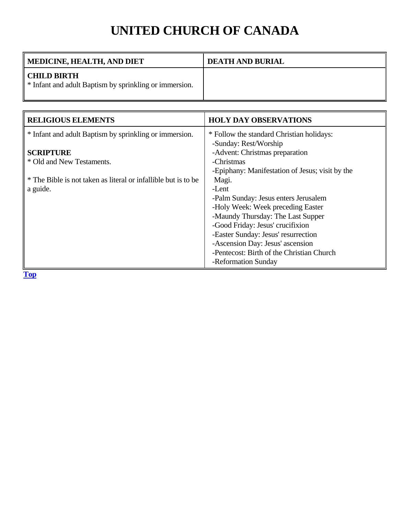# **UNITED CHURCH OF CANADA**

<span id="page-55-0"></span>

| MEDICINE, HEALTH, AND DIET                                                   | <b>DEATH AND BURIAL</b> |
|------------------------------------------------------------------------------|-------------------------|
| <b>CHILD BIRTH</b><br>* Infant and adult Baptism by sprinkling or immersion. |                         |

| <b>RELIGIOUS ELEMENTS</b>                                      | <b>HOLY DAY OBSERVATIONS</b>                    |
|----------------------------------------------------------------|-------------------------------------------------|
| * Infant and adult Baptism by sprinkling or immersion.         | * Follow the standard Christian holidays:       |
|                                                                | -Sunday: Rest/Worship                           |
| <b>SCRIPTURE</b>                                               | -Advent: Christmas preparation                  |
| * Old and New Testaments.                                      | -Christmas                                      |
|                                                                | -Epiphany: Manifestation of Jesus; visit by the |
| * The Bible is not taken as literal or infallible but is to be | Magi.                                           |
| a guide.                                                       | -Lent                                           |
|                                                                | -Palm Sunday: Jesus enters Jerusalem            |
|                                                                | -Holy Week: Week preceding Easter               |
|                                                                | -Maundy Thursday: The Last Supper               |
|                                                                | -Good Friday: Jesus' crucifixion                |
|                                                                | -Easter Sunday: Jesus' resurrection             |
|                                                                | -Ascension Day: Jesus' ascension                |
|                                                                | -Pentecost: Birth of the Christian Church       |
|                                                                | -Reformation Sunday                             |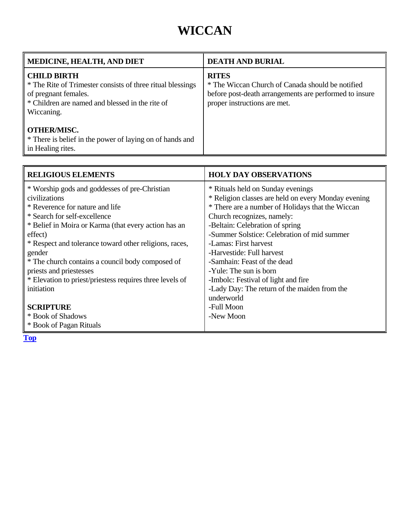### **WICCAN**

<span id="page-56-0"></span>

| <b>MEDICINE, HEALTH, AND DIET</b>                                                                                                                                         | <b>DEATH AND BURIAL</b>                                                                                                                                    |
|---------------------------------------------------------------------------------------------------------------------------------------------------------------------------|------------------------------------------------------------------------------------------------------------------------------------------------------------|
| <b>CHILD BIRTH</b><br>* The Rite of Trimester consists of three ritual blessings<br>of pregnant females.<br>* Children are named and blessed in the rite of<br>Wiccaning. | <b>RITES</b><br>* The Wiccan Church of Canada should be notified<br>before post-death arrangements are performed to insure<br>proper instructions are met. |
| <b>OTHER/MISC.</b><br>* There is belief in the power of laying on of hands and<br>in Healing rites.                                                                       |                                                                                                                                                            |

| <b>RELIGIOUS ELEMENTS</b>                                | <b>HOLY DAY OBSERVATIONS</b>                        |
|----------------------------------------------------------|-----------------------------------------------------|
| * Worship gods and goddesses of pre-Christian            | * Rituals held on Sunday evenings                   |
| civilizations                                            | * Religion classes are held on every Monday evening |
| * Reverence for nature and life                          | * There are a number of Holidays that the Wiccan    |
| * Search for self-excellence                             | Church recognizes, namely:                          |
| * Belief in Moira or Karma (that every action has an     | -Beltain: Celebration of spring                     |
| effect)                                                  | -Summer Solstice: Celebration of mid summer         |
| * Respect and tolerance toward other religions, races,   | -Lamas: First harvest                               |
| gender                                                   | -Harvestide: Full harvest                           |
| * The church contains a council body composed of         | -Samhain: Feast of the dead                         |
| priests and priestesses                                  | -Yule: The sun is born                              |
| * Elevation to priest/priestess requires three levels of | -Imbolc: Festival of light and fire                 |
| initiation                                               | -Lady Day: The return of the maiden from the        |
|                                                          | underworld                                          |
| <b>SCRIPTURE</b>                                         | -Full Moon                                          |
| * Book of Shadows                                        | -New Moon                                           |
| * Book of Pagan Rituals                                  |                                                     |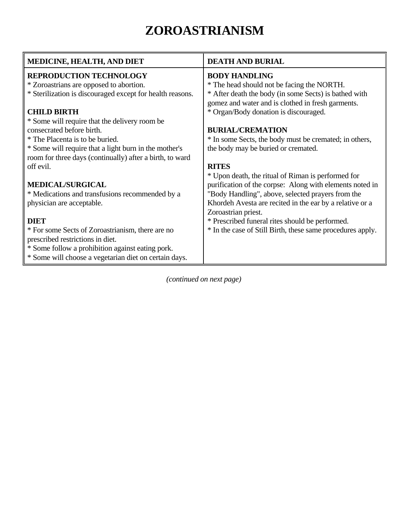# **ZOROASTRIANISM**

<span id="page-57-0"></span>

| <b>MEDICINE, HEALTH, AND DIET</b>                         | <b>DEATH AND BURIAL</b>                                    |
|-----------------------------------------------------------|------------------------------------------------------------|
| <b>REPRODUCTION TECHNOLOGY</b>                            | <b>BODY HANDLING</b>                                       |
| * Zoroastrians are opposed to abortion.                   | * The head should not be facing the NORTH.                 |
| * Sterilization is discouraged except for health reasons. | * After death the body (in some Sects) is bathed with      |
|                                                           | gomez and water and is clothed in fresh garments.          |
| <b>CHILD BIRTH</b>                                        | * Organ/Body donation is discouraged.                      |
| * Some will require that the delivery room be             |                                                            |
| consecrated before birth.                                 | <b>BURIAL/CREMATION</b>                                    |
| * The Placenta is to be buried.                           | * In some Sects, the body must be cremated; in others,     |
| * Some will require that a light burn in the mother's     | the body may be buried or cremated.                        |
| room for three days (continually) after a birth, to ward  |                                                            |
| off evil.                                                 | <b>RITES</b>                                               |
|                                                           | * Upon death, the ritual of Riman is performed for         |
| <b>MEDICAL/SURGICAL</b>                                   | purification of the corpse: Along with elements noted in   |
| * Medications and transfusions recommended by a           | "Body Handling", above, selected prayers from the          |
| physician are acceptable.                                 | Khordeh Avesta are recited in the ear by a relative or a   |
|                                                           | Zoroastrian priest.                                        |
| <b>DIET</b>                                               | * Prescribed funeral rites should be performed.            |
| * For some Sects of Zoroastrianism, there are no          | * In the case of Still Birth, these same procedures apply. |
| prescribed restrictions in diet.                          |                                                            |
| * Some follow a prohibition against eating pork.          |                                                            |
| * Some will choose a vegetarian diet on certain days.     |                                                            |
|                                                           |                                                            |